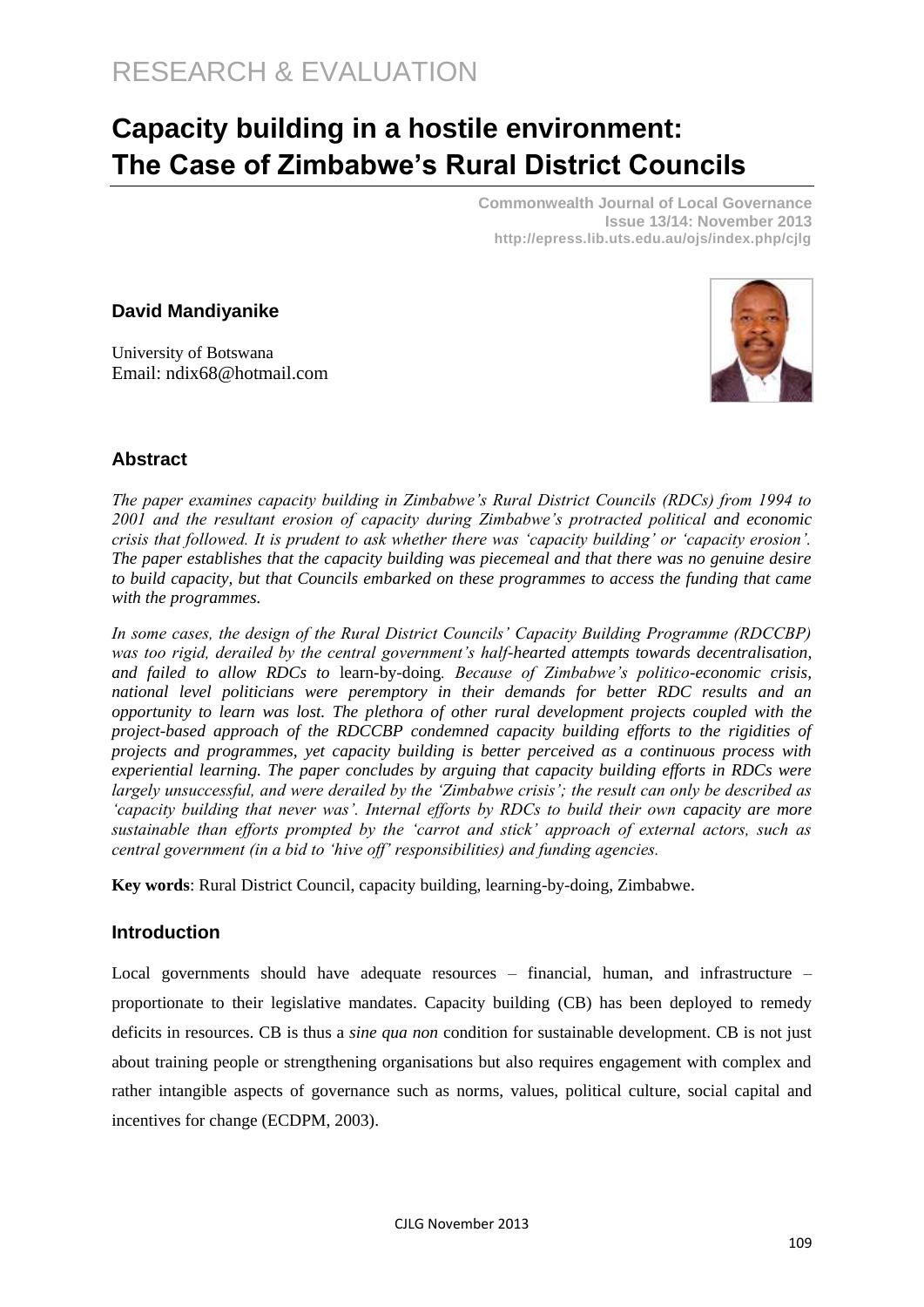# **Capacity building in a hostile environment: The Case of Zimbabwe's Rural District Councils**

**Commonwealth Journal of Local Governance Issue 13/14: November 2013 http://epress.lib.uts.edu.au/ojs/index.php/cjlg**

# **David Mandiyanike**

University of Botswana Email: ndix68@hotmail.com



# **Abstract**

*The paper examines capacity building in Zimbabwe's Rural District Councils (RDCs) from 1994 to 2001 and the resultant erosion of capacity during Zimbabwe's protracted political and economic crisis that followed. It is prudent to ask whether there was 'capacity building' or 'capacity erosion'. The paper establishes that the capacity building was piecemeal and that there was no genuine desire to build capacity, but that Councils embarked on these programmes to access the funding that came with the programmes.*

*In some cases, the design of the Rural District Councils' Capacity Building Programme (RDCCBP) was too rigid, derailed by the central government's half-hearted attempts towards decentralisation, and failed to allow RDCs to* learn-by-doing*. Because of Zimbabwe's politico-economic crisis, national level politicians were peremptory in their demands for better RDC results and an opportunity to learn was lost. The plethora of other rural development projects coupled with the project-based approach of the RDCCBP condemned capacity building efforts to the rigidities of projects and programmes, yet capacity building is better perceived as a continuous process with experiential learning. The paper concludes by arguing that capacity building efforts in RDCs were largely unsuccessful, and were derailed by the 'Zimbabwe crisis'; the result can only be described as 'capacity building that never was'. Internal efforts by RDCs to build their own capacity are more sustainable than efforts prompted by the 'carrot and stick' approach of external actors, such as central government (in a bid to 'hive off' responsibilities) and funding agencies.*

**Key words**: Rural District Council, capacity building, learning-by-doing, Zimbabwe.

## **Introduction**

Local governments should have adequate resources – financial, human, and infrastructure – proportionate to their legislative mandates. Capacity building (CB) has been deployed to remedy deficits in resources. CB is thus a *sine qua non* condition for sustainable development. CB is not just about training people or strengthening organisations but also requires engagement with complex and rather intangible aspects of governance such as norms, values, political culture, social capital and incentives for change (ECDPM, 2003).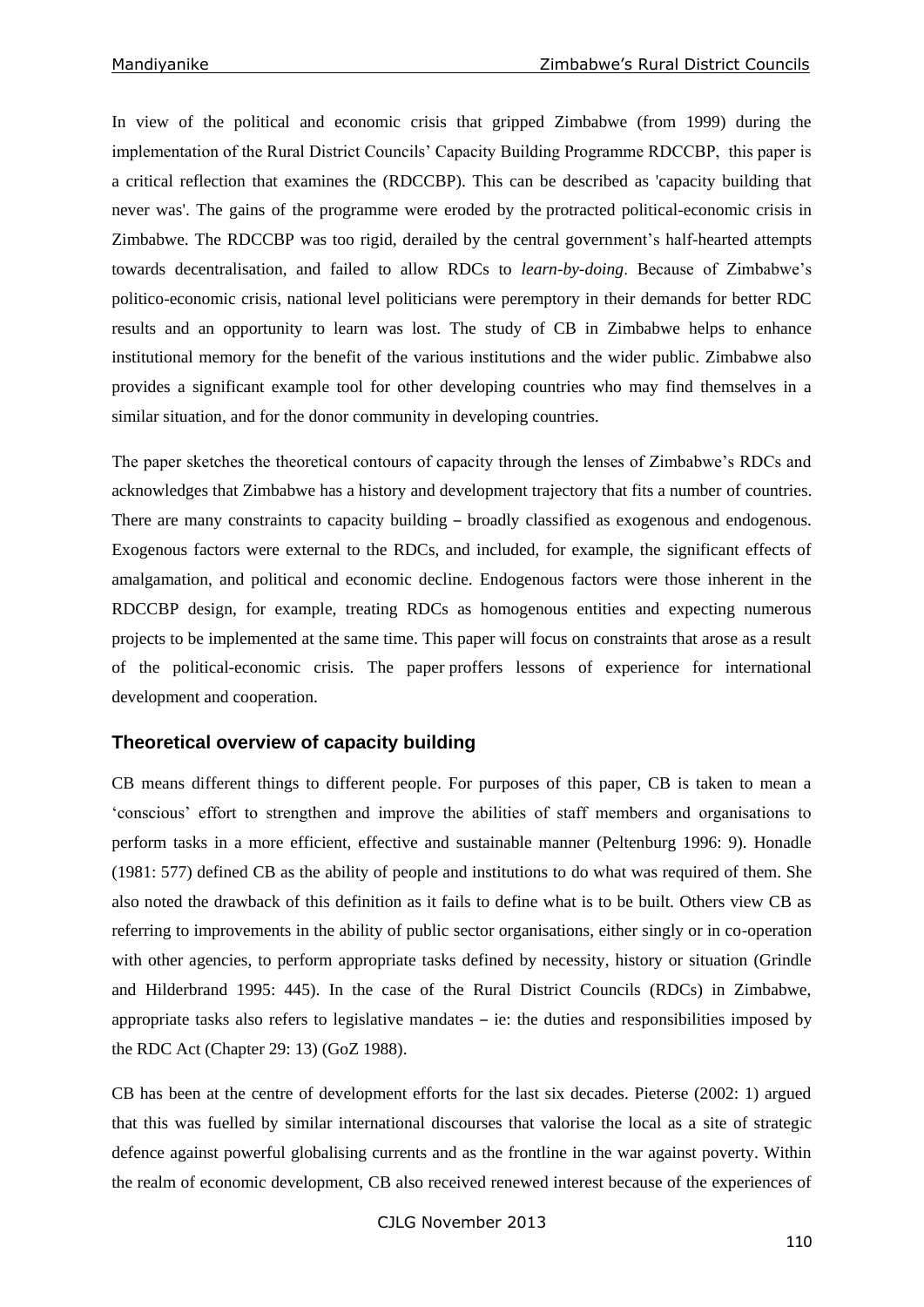In view of the political and economic crisis that gripped Zimbabwe (from 1999) during the implementation of the Rural District Councils' Capacity Building Programme RDCCBP, this paper is a critical reflection that examines the (RDCCBP). This can be described as 'capacity building that never was'. The gains of the programme were eroded by the protracted political-economic crisis in Zimbabwe. The RDCCBP was too rigid, derailed by the central government's half-hearted attempts towards decentralisation, and failed to allow RDCs to *learn-by-doing*. Because of Zimbabwe's politico-economic crisis, national level politicians were peremptory in their demands for better RDC results and an opportunity to learn was lost. The study of CB in Zimbabwe helps to enhance institutional memory for the benefit of the various institutions and the wider public. Zimbabwe also provides a significant example tool for other developing countries who may find themselves in a similar situation, and for the donor community in developing countries.

The paper sketches the theoretical contours of capacity through the lenses of Zimbabwe's RDCs and acknowledges that Zimbabwe has a history and development trajectory that fits a number of countries. There are many constraints to capacity building – broadly classified as exogenous and endogenous. Exogenous factors were external to the RDCs, and included, for example, the significant effects of amalgamation, and political and economic decline. Endogenous factors were those inherent in the RDCCBP design, for example, treating RDCs as homogenous entities and expecting numerous projects to be implemented at the same time. This paper will focus on constraints that arose as a result of the political-economic crisis. The paper proffers lessons of experience for international development and cooperation.

## **Theoretical overview of capacity building**

CB means different things to different people. For purposes of this paper, CB is taken to mean a 'conscious' effort to strengthen and improve the abilities of staff members and organisations to perform tasks in a more efficient, effective and sustainable manner (Peltenburg 1996: 9). Honadle (1981: 577) defined CB as the ability of people and institutions to do what was required of them. She also noted the drawback of this definition as it fails to define what is to be built. Others view CB as referring to improvements in the ability of public sector organisations, either singly or in co-operation with other agencies, to perform appropriate tasks defined by necessity, history or situation (Grindle and Hilderbrand 1995: 445). In the case of the Rural District Councils (RDCs) in Zimbabwe, appropriate tasks also refers to legislative mandates – ie: the duties and responsibilities imposed by the RDC Act (Chapter 29: 13) (GoZ 1988).

CB has been at the centre of development efforts for the last six decades. Pieterse (2002: 1) argued that this was fuelled by similar international discourses that valorise the local as a site of strategic defence against powerful globalising currents and as the frontline in the war against poverty. Within the realm of economic development, CB also received renewed interest because of the experiences of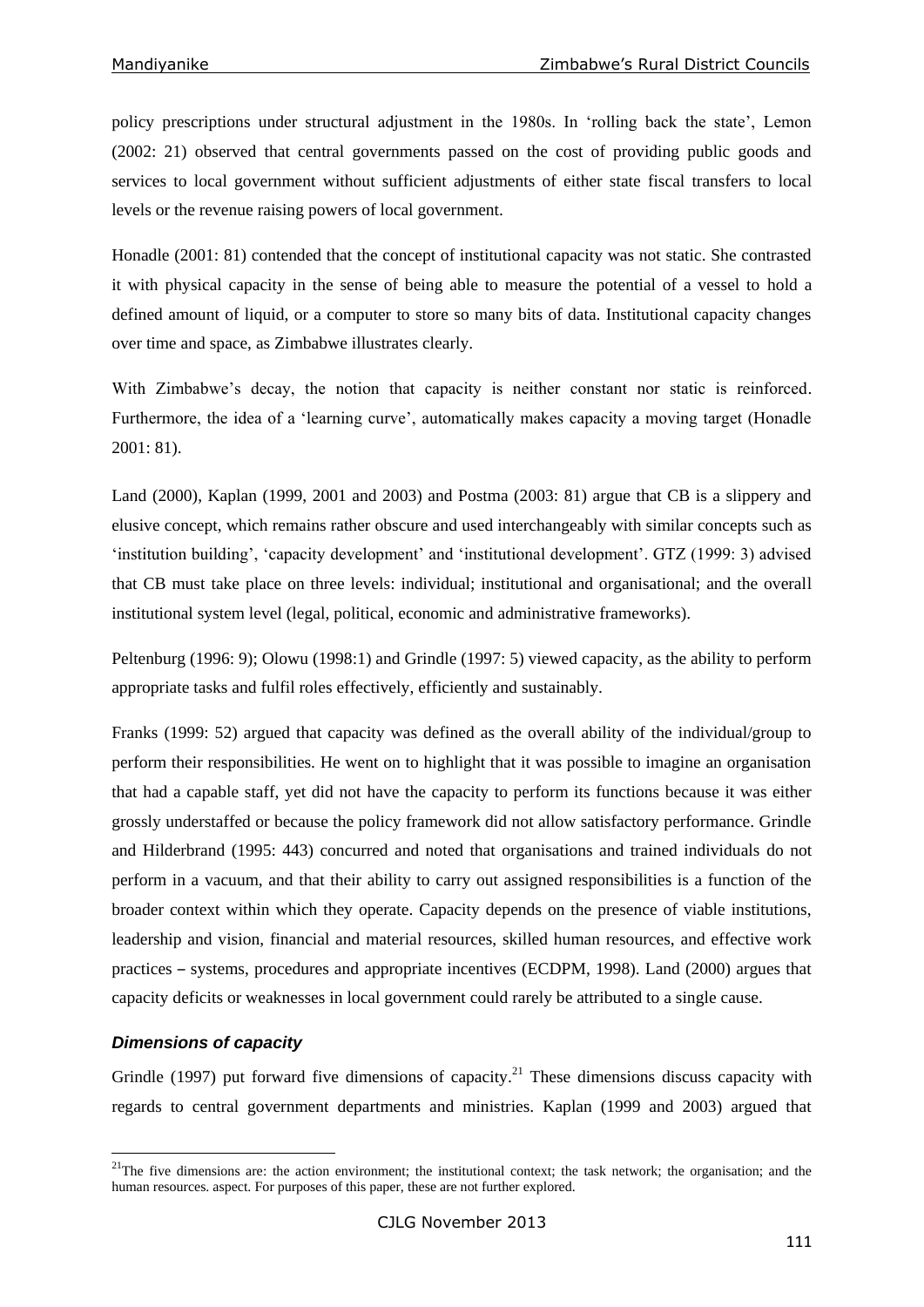policy prescriptions under structural adjustment in the 1980s. In 'rolling back the state', Lemon (2002: 21) observed that central governments passed on the cost of providing public goods and services to local government without sufficient adjustments of either state fiscal transfers to local levels or the revenue raising powers of local government.

Honadle (2001: 81) contended that the concept of institutional capacity was not static. She contrasted it with physical capacity in the sense of being able to measure the potential of a vessel to hold a defined amount of liquid, or a computer to store so many bits of data. Institutional capacity changes over time and space, as Zimbabwe illustrates clearly.

With Zimbabwe's decay, the notion that capacity is neither constant nor static is reinforced. Furthermore, the idea of a 'learning curve', automatically makes capacity a moving target (Honadle 2001: 81).

Land (2000), Kaplan (1999, 2001 and 2003) and Postma (2003: 81) argue that CB is a slippery and elusive concept, which remains rather obscure and used interchangeably with similar concepts such as 'institution building', 'capacity development' and 'institutional development'. GTZ (1999: 3) advised that CB must take place on three levels: individual; institutional and organisational; and the overall institutional system level (legal, political, economic and administrative frameworks).

Peltenburg (1996: 9); Olowu (1998:1) and Grindle (1997: 5) viewed capacity, as the ability to perform appropriate tasks and fulfil roles effectively, efficiently and sustainably.

Franks (1999: 52) argued that capacity was defined as the overall ability of the individual/group to perform their responsibilities. He went on to highlight that it was possible to imagine an organisation that had a capable staff, yet did not have the capacity to perform its functions because it was either grossly understaffed or because the policy framework did not allow satisfactory performance. Grindle and Hilderbrand (1995: 443) concurred and noted that organisations and trained individuals do not perform in a vacuum, and that their ability to carry out assigned responsibilities is a function of the broader context within which they operate. Capacity depends on the presence of viable institutions, leadership and vision, financial and material resources, skilled human resources, and effective work practices – systems, procedures and appropriate incentives (ECDPM, 1998). Land (2000) argues that capacity deficits or weaknesses in local government could rarely be attributed to a single cause.

### *Dimensions of capacity*

1

Grindle (1997) put forward five dimensions of capacity.<sup>21</sup> These dimensions discuss capacity with regards to central government departments and ministries. Kaplan (1999 and 2003) argued that

 $21$ The five dimensions are: the action environment; the institutional context; the task network; the organisation; and the human resources. aspect. For purposes of this paper, these are not further explored.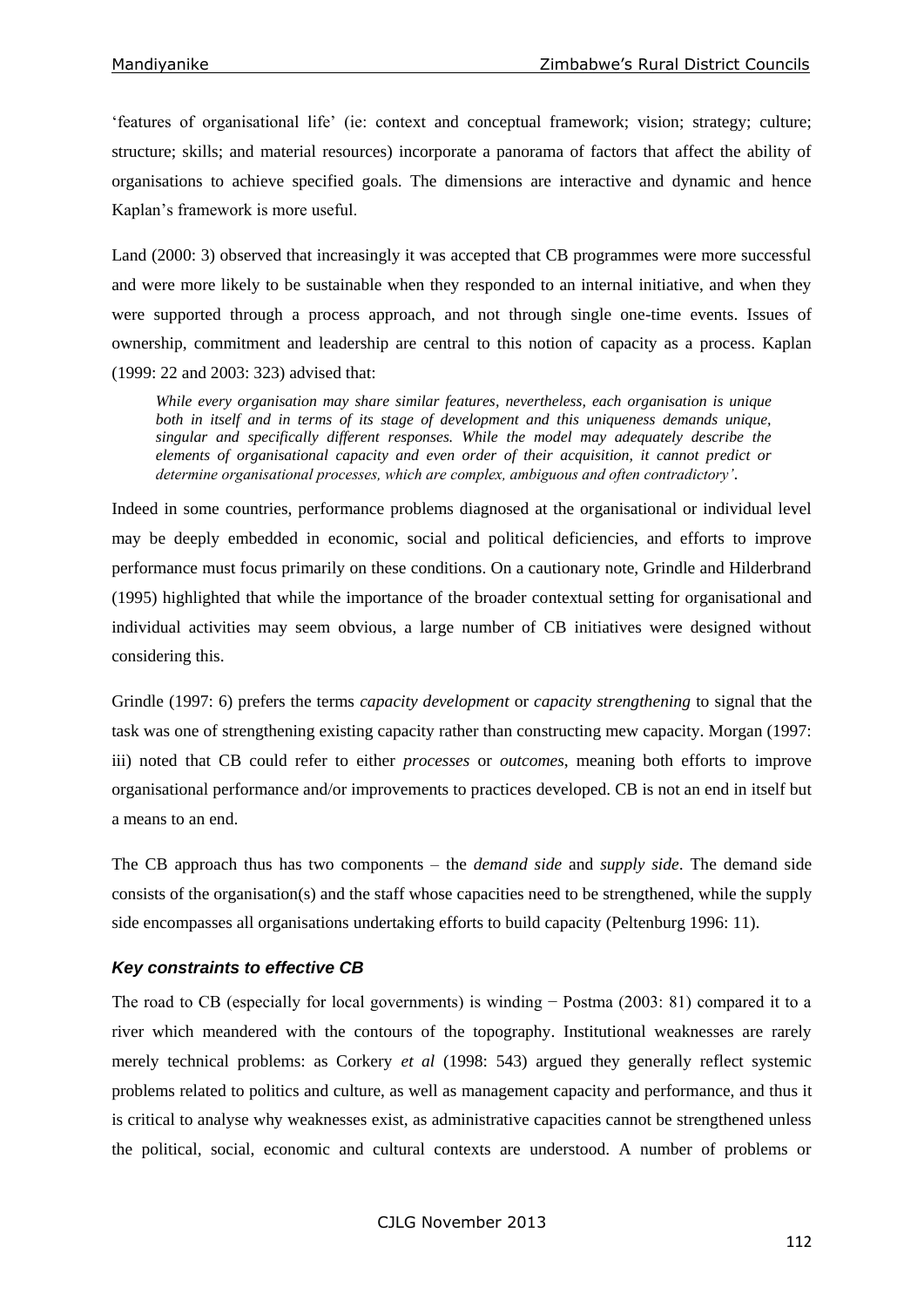'features of organisational life' (ie: context and conceptual framework; vision; strategy; culture; structure; skills; and material resources) incorporate a panorama of factors that affect the ability of organisations to achieve specified goals. The dimensions are interactive and dynamic and hence Kaplan's framework is more useful.

Land (2000: 3) observed that increasingly it was accepted that CB programmes were more successful and were more likely to be sustainable when they responded to an internal initiative, and when they were supported through a process approach, and not through single one-time events. Issues of ownership, commitment and leadership are central to this notion of capacity as a process. Kaplan (1999: 22 and 2003: 323) advised that:

*While every organisation may share similar features, nevertheless, each organisation is unique both in itself and in terms of its stage of development and this uniqueness demands unique, singular and specifically different responses. While the model may adequately describe the elements of organisational capacity and even order of their acquisition, it cannot predict or determine organisational processes, which are complex, ambiguous and often contradictory'*.

Indeed in some countries, performance problems diagnosed at the organisational or individual level may be deeply embedded in economic, social and political deficiencies, and efforts to improve performance must focus primarily on these conditions. On a cautionary note, Grindle and Hilderbrand (1995) highlighted that while the importance of the broader contextual setting for organisational and individual activities may seem obvious, a large number of CB initiatives were designed without considering this.

Grindle (1997: 6) prefers the terms *capacity development* or *capacity strengthening* to signal that the task was one of strengthening existing capacity rather than constructing mew capacity. Morgan (1997: iii) noted that CB could refer to either *processes* or *outcomes*, meaning both efforts to improve organisational performance and/or improvements to practices developed. CB is not an end in itself but a means to an end.

The CB approach thus has two components – the *demand side* and *supply side*. The demand side consists of the organisation(s) and the staff whose capacities need to be strengthened, while the supply side encompasses all organisations undertaking efforts to build capacity (Peltenburg 1996: 11).

#### *Key constraints to effective CB*

The road to CB (especially for local governments) is winding − Postma (2003: 81) compared it to a river which meandered with the contours of the topography. Institutional weaknesses are rarely merely technical problems: as Corkery *et al* (1998: 543) argued they generally reflect systemic problems related to politics and culture, as well as management capacity and performance, and thus it is critical to analyse why weaknesses exist, as administrative capacities cannot be strengthened unless the political, social, economic and cultural contexts are understood. A number of problems or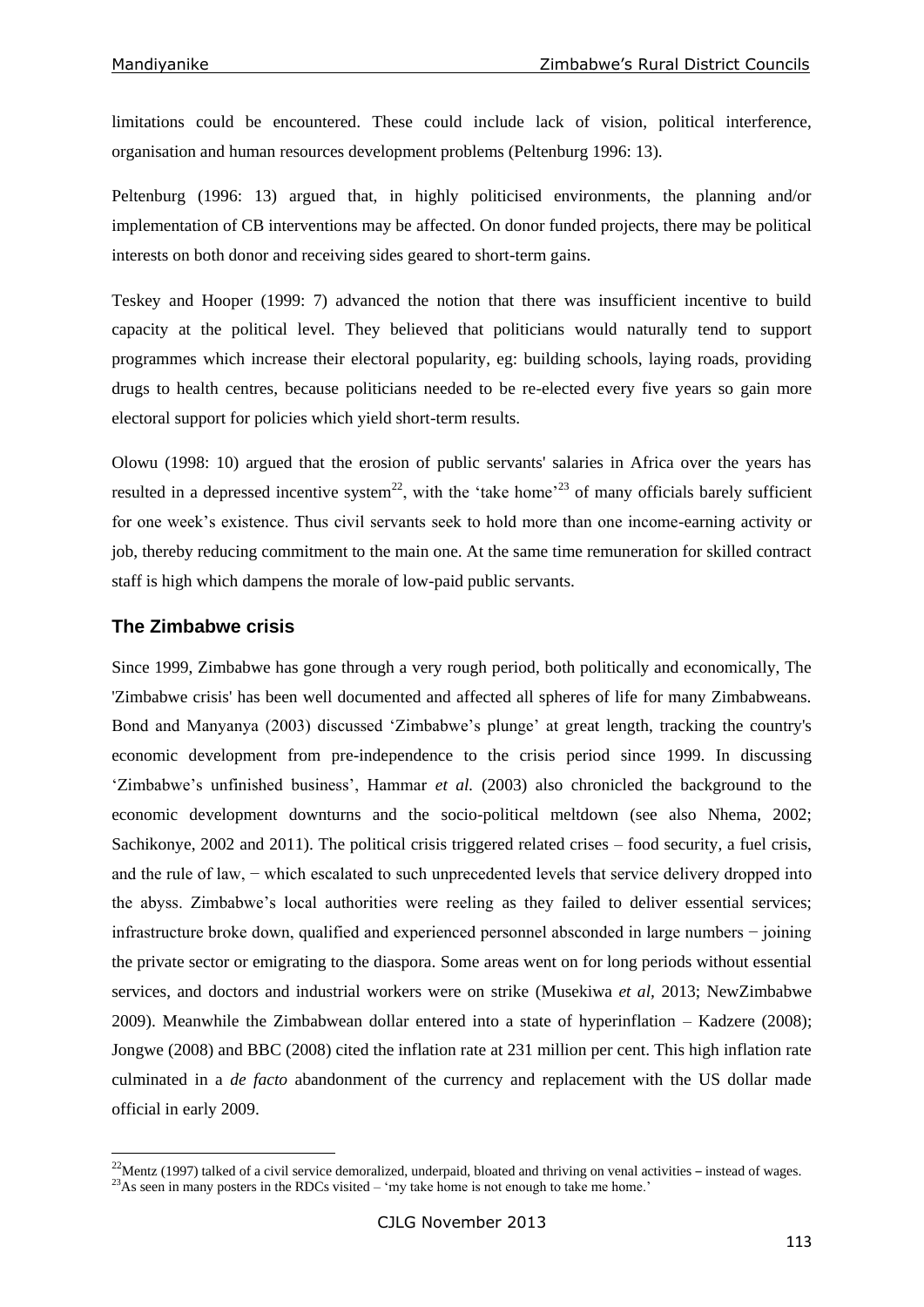limitations could be encountered. These could include lack of vision, political interference, organisation and human resources development problems (Peltenburg 1996: 13).

Peltenburg (1996: 13) argued that, in highly politicised environments, the planning and/or implementation of CB interventions may be affected. On donor funded projects, there may be political interests on both donor and receiving sides geared to short-term gains.

Teskey and Hooper (1999: 7) advanced the notion that there was insufficient incentive to build capacity at the political level. They believed that politicians would naturally tend to support programmes which increase their electoral popularity, eg: building schools, laying roads, providing drugs to health centres, because politicians needed to be re-elected every five years so gain more electoral support for policies which yield short-term results.

Olowu (1998: 10) argued that the erosion of public servants' salaries in Africa over the years has resulted in a depressed incentive system<sup>22</sup>, with the 'take home'<sup>23</sup> of many officials barely sufficient for one week's existence. Thus civil servants seek to hold more than one income-earning activity or job, thereby reducing commitment to the main one. At the same time remuneration for skilled contract staff is high which dampens the morale of low-paid public servants.

#### **The Zimbabwe crisis**

1

Since 1999, Zimbabwe has gone through a very rough period, both politically and economically, The 'Zimbabwe crisis' has been well documented and affected all spheres of life for many Zimbabweans. Bond and Manyanya (2003) discussed 'Zimbabwe's plunge' at great length, tracking the country's economic development from pre-independence to the crisis period since 1999. In discussing 'Zimbabwe's unfinished business', Hammar *et al.* (2003) also chronicled the background to the economic development downturns and the socio-political meltdown (see also Nhema, 2002; Sachikonye, 2002 and 2011). The political crisis triggered related crises – food security, a fuel crisis, and the rule of law, − which escalated to such unprecedented levels that service delivery dropped into the abyss. Zimbabwe's local authorities were reeling as they failed to deliver essential services; infrastructure broke down, qualified and experienced personnel absconded in large numbers − joining the private sector or emigrating to the diaspora. Some areas went on for long periods without essential services, and doctors and industrial workers were on strike (Musekiwa *et al,* 2013; NewZimbabwe 2009). Meanwhile the Zimbabwean dollar entered into a state of hyperinflation – Kadzere (2008); Jongwe (2008) and BBC (2008) cited the inflation rate at 231 million per cent. This high inflation rate culminated in a *de facto* abandonment of the currency and replacement with the US dollar made official in early 2009.

 $^{22}$ Mentz (1997) talked of a civil service demoralized, underpaid, bloated and thriving on venal activities – instead of wages.  $^{23}$ As seen in many posters in the RDCs visited – 'my take home is not enough to take me home.'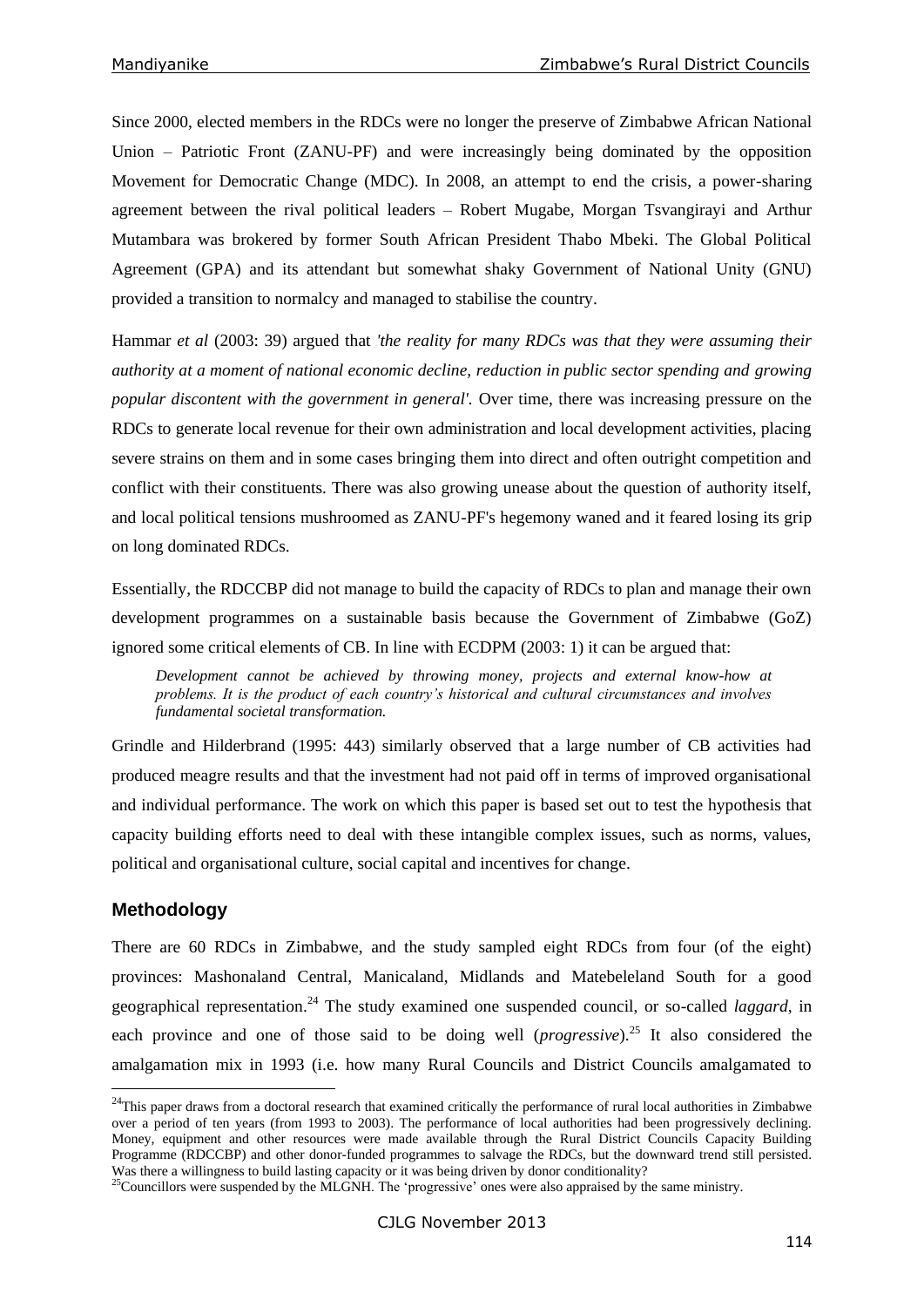Since 2000, elected members in the RDCs were no longer the preserve of Zimbabwe African National Union – Patriotic Front (ZANU-PF) and were increasingly being dominated by the opposition Movement for Democratic Change (MDC). In 2008, an attempt to end the crisis, a power-sharing agreement between the rival political leaders – Robert Mugabe, Morgan Tsvangirayi and Arthur Mutambara was brokered by former South African President Thabo Mbeki. The Global Political Agreement (GPA) and its attendant but somewhat shaky Government of National Unity (GNU) provided a transition to normalcy and managed to stabilise the country.

Hammar *et al* (2003: 39) argued that *'the reality for many RDCs was that they were assuming their authority at a moment of national economic decline, reduction in public sector spending and growing popular discontent with the government in general'.* Over time, there was increasing pressure on the RDCs to generate local revenue for their own administration and local development activities, placing severe strains on them and in some cases bringing them into direct and often outright competition and conflict with their constituents. There was also growing unease about the question of authority itself, and local political tensions mushroomed as ZANU-PF's hegemony waned and it feared losing its grip on long dominated RDCs.

Essentially, the RDCCBP did not manage to build the capacity of RDCs to plan and manage their own development programmes on a sustainable basis because the Government of Zimbabwe (GoZ) ignored some critical elements of CB. In line with ECDPM (2003: 1) it can be argued that:

*Development cannot be achieved by throwing money, projects and external know-how at problems. It is the product of each country's historical and cultural circumstances and involves fundamental societal transformation.*

Grindle and Hilderbrand (1995: 443) similarly observed that a large number of CB activities had produced meagre results and that the investment had not paid off in terms of improved organisational and individual performance. The work on which this paper is based set out to test the hypothesis that capacity building efforts need to deal with these intangible complex issues, such as norms, values, political and organisational culture, social capital and incentives for change.

## **Methodology**

**.** 

There are 60 RDCs in Zimbabwe, and the study sampled eight RDCs from four (of the eight) provinces: Mashonaland Central, Manicaland, Midlands and Matebeleland South for a good geographical representation.<sup>24</sup> The study examined one suspended council, or so-called *laggard*, in each province and one of those said to be doing well (*progressive*).<sup>25</sup> It also considered the amalgamation mix in 1993 (i.e. how many Rural Councils and District Councils amalgamated to

 $24$ This paper draws from a doctoral research that examined critically the performance of rural local authorities in Zimbabwe over a period of ten years (from 1993 to 2003). The performance of local authorities had been progressively declining. Money, equipment and other resources were made available through the Rural District Councils Capacity Building Programme (RDCCBP) and other donor-funded programmes to salvage the RDCs, but the downward trend still persisted. Was there a willingness to build lasting capacity or it was being driven by donor conditionality?

<sup>&</sup>lt;sup>25</sup>Councillors were suspended by the MLGNH. The 'progressive' ones were also appraised by the same ministry.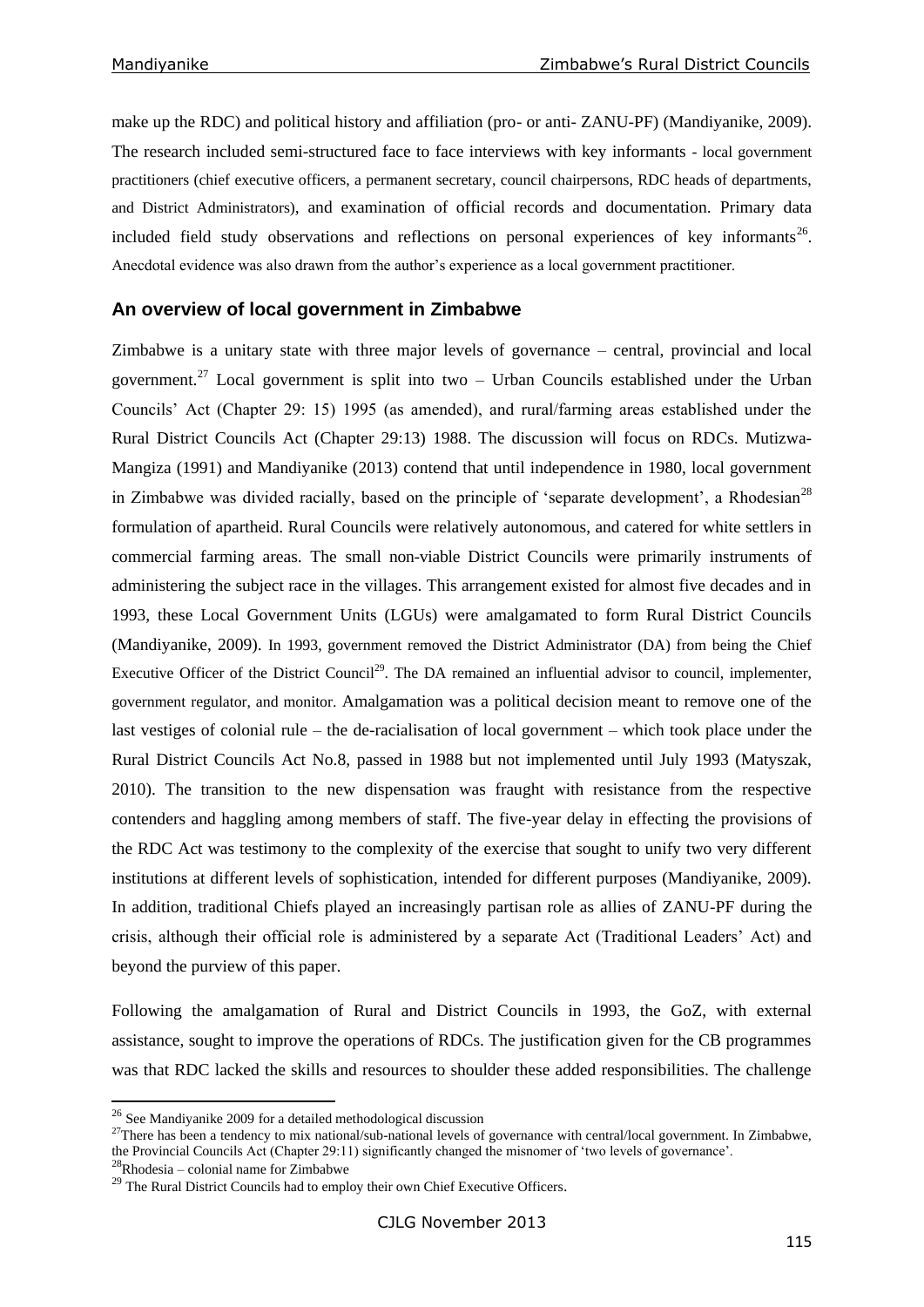make up the RDC) and political history and affiliation (pro- or anti- ZANU-PF) (Mandiyanike, 2009). The research included semi-structured face to face interviews with key informants - local government practitioners (chief executive officers, a permanent secretary, council chairpersons, RDC heads of departments, and District Administrators), and examination of official records and documentation. Primary data included field study observations and reflections on personal experiences of key informants<sup>26</sup>. Anecdotal evidence was also drawn from the author's experience as a local government practitioner.

# **An overview of local government in Zimbabwe**

Zimbabwe is a unitary state with three major levels of governance – central, provincial and local government.<sup>27</sup> Local government is split into two – Urban Councils established under the Urban Councils' Act (Chapter 29: 15) 1995 (as amended), and rural/farming areas established under the Rural District Councils Act (Chapter 29:13) 1988. The discussion will focus on RDCs. Mutizwa-Mangiza (1991) and Mandiyanike (2013) contend that until independence in 1980, local government in Zimbabwe was divided racially, based on the principle of 'separate development', a Rhodesian<sup>28</sup> formulation of apartheid. Rural Councils were relatively autonomous, and catered for white settlers in commercial farming areas. The small non-viable District Councils were primarily instruments of administering the subject race in the villages. This arrangement existed for almost five decades and in 1993, these Local Government Units (LGUs) were amalgamated to form Rural District Councils (Mandiyanike, 2009). In 1993, government removed the District Administrator (DA) from being the Chief Executive Officer of the District Council<sup>29</sup>. The DA remained an influential advisor to council, implementer, government regulator, and monitor. Amalgamation was a political decision meant to remove one of the last vestiges of colonial rule – the de-racialisation of local government – which took place under the Rural District Councils Act No.8, passed in 1988 but not implemented until July 1993 (Matyszak, 2010). The transition to the new dispensation was fraught with resistance from the respective contenders and haggling among members of staff. The five-year delay in effecting the provisions of the RDC Act was testimony to the complexity of the exercise that sought to unify two very different institutions at different levels of sophistication, intended for different purposes (Mandiyanike, 2009). In addition, traditional Chiefs played an increasingly partisan role as allies of ZANU-PF during the crisis, although their official role is administered by a separate Act (Traditional Leaders' Act) and beyond the purview of this paper.

Following the amalgamation of Rural and District Councils in 1993, the GoZ, with external assistance, sought to improve the operations of RDCs. The justification given for the CB programmes was that RDC lacked the skills and resources to shoulder these added responsibilities. The challenge

1

<sup>26</sup> See Mandiyanike 2009 for a detailed methodological discussion

<sup>&</sup>lt;sup>27</sup>There has been a tendency to mix national/sub-national levels of governance with central/local government. In Zimbabwe, the Provincial Councils Act (Chapter 29:11) significantly changed the misnomer of 'two levels of governance'.

 $^{28}$ Rhodesia – colonial name for Zimbabwe

<sup>&</sup>lt;sup>29</sup> The Rural District Councils had to employ their own Chief Executive Officers.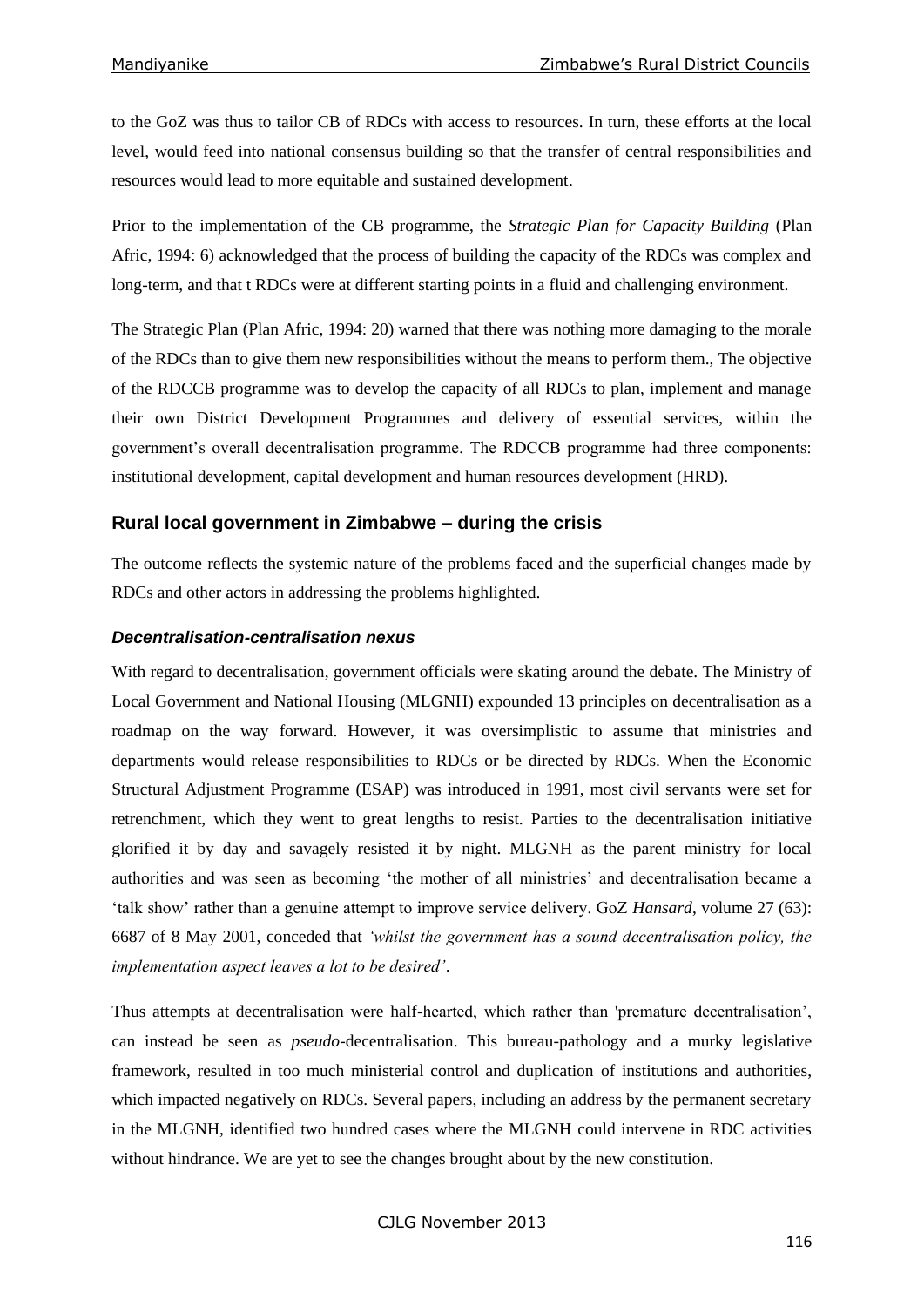to the GoZ was thus to tailor CB of RDCs with access to resources. In turn, these efforts at the local level, would feed into national consensus building so that the transfer of central responsibilities and resources would lead to more equitable and sustained development.

Prior to the implementation of the CB programme, the *Strategic Plan for Capacity Building* (Plan Afric, 1994: 6) acknowledged that the process of building the capacity of the RDCs was complex and long-term, and that t RDCs were at different starting points in a fluid and challenging environment.

The Strategic Plan (Plan Afric, 1994: 20) warned that there was nothing more damaging to the morale of the RDCs than to give them new responsibilities without the means to perform them., The objective of the RDCCB programme was to develop the capacity of all RDCs to plan, implement and manage their own District Development Programmes and delivery of essential services, within the government's overall decentralisation programme. The RDCCB programme had three components: institutional development, capital development and human resources development (HRD).

# **Rural local government in Zimbabwe – during the crisis**

The outcome reflects the systemic nature of the problems faced and the superficial changes made by RDCs and other actors in addressing the problems highlighted.

# *Decentralisation-centralisation nexus*

With regard to decentralisation, government officials were skating around the debate. The Ministry of Local Government and National Housing (MLGNH) expounded 13 principles on decentralisation as a roadmap on the way forward. However, it was oversimplistic to assume that ministries and departments would release responsibilities to RDCs or be directed by RDCs. When the Economic Structural Adjustment Programme (ESAP) was introduced in 1991, most civil servants were set for retrenchment, which they went to great lengths to resist. Parties to the decentralisation initiative glorified it by day and savagely resisted it by night. MLGNH as the parent ministry for local authorities and was seen as becoming 'the mother of all ministries' and decentralisation became a 'talk show' rather than a genuine attempt to improve service delivery. GoZ *Hansard*, volume 27 (63): 6687 of 8 May 2001, conceded that *'whilst the government has a sound decentralisation policy, the implementation aspect leaves a lot to be desired'*.

Thus attempts at decentralisation were half-hearted, which rather than 'premature decentralisation', can instead be seen as *pseudo*-decentralisation. This bureau-pathology and a murky legislative framework, resulted in too much ministerial control and duplication of institutions and authorities, which impacted negatively on RDCs. Several papers, including an address by the permanent secretary in the MLGNH, identified two hundred cases where the MLGNH could intervene in RDC activities without hindrance. We are yet to see the changes brought about by the new constitution.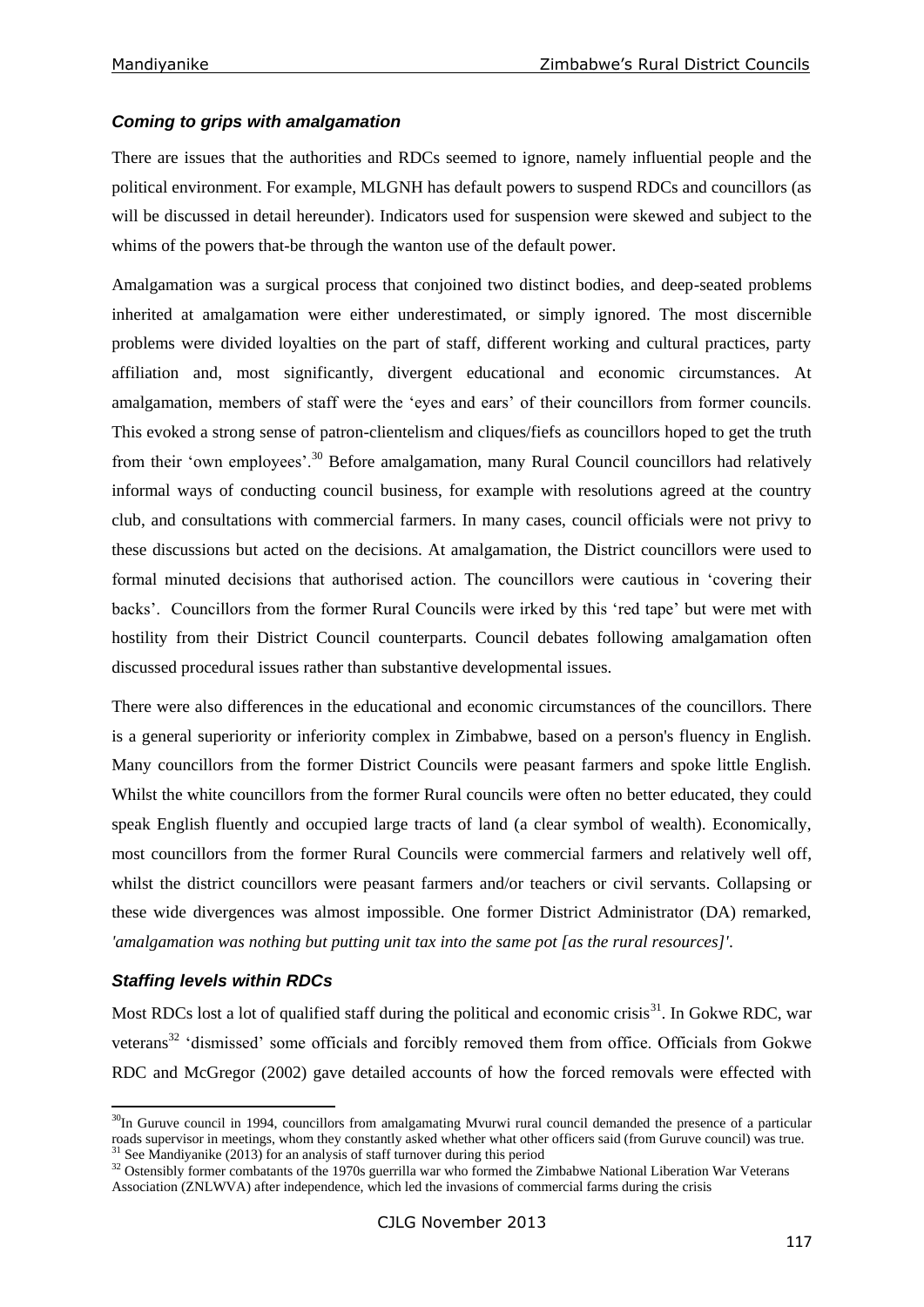#### *Coming to grips with amalgamation*

There are issues that the authorities and RDCs seemed to ignore, namely influential people and the political environment. For example, MLGNH has default powers to suspend RDCs and councillors (as will be discussed in detail hereunder). Indicators used for suspension were skewed and subject to the whims of the powers that-be through the wanton use of the default power.

Amalgamation was a surgical process that conjoined two distinct bodies, and deep-seated problems inherited at amalgamation were either underestimated, or simply ignored. The most discernible problems were divided loyalties on the part of staff, different working and cultural practices, party affiliation and, most significantly, divergent educational and economic circumstances. At amalgamation, members of staff were the 'eyes and ears' of their councillors from former councils. This evoked a strong sense of patron-clientelism and cliques/fiefs as councillors hoped to get the truth from their 'own employees'.<sup>30</sup> Before amalgamation, many Rural Council councillors had relatively informal ways of conducting council business, for example with resolutions agreed at the country club, and consultations with commercial farmers. In many cases, council officials were not privy to these discussions but acted on the decisions. At amalgamation, the District councillors were used to formal minuted decisions that authorised action. The councillors were cautious in 'covering their backs'. Councillors from the former Rural Councils were irked by this 'red tape' but were met with hostility from their District Council counterparts. Council debates following amalgamation often discussed procedural issues rather than substantive developmental issues.

There were also differences in the educational and economic circumstances of the councillors. There is a general superiority or inferiority complex in Zimbabwe, based on a person's fluency in English. Many councillors from the former District Councils were peasant farmers and spoke little English. Whilst the white councillors from the former Rural councils were often no better educated, they could speak English fluently and occupied large tracts of land (a clear symbol of wealth). Economically, most councillors from the former Rural Councils were commercial farmers and relatively well off, whilst the district councillors were peasant farmers and/or teachers or civil servants. Collapsing or these wide divergences was almost impossible. One former District Administrator (DA) remarked, *'amalgamation was nothing but putting unit tax into the same pot [as the rural resources]'*.

#### *Staffing levels within RDCs*

**.** 

Most RDCs lost a lot of qualified staff during the political and economic crisis<sup>31</sup>. In Gokwe RDC, war veterans<sup>32</sup> 'dismissed' some officials and forcibly removed them from office. Officials from Gokwe RDC and McGregor (2002) gave detailed accounts of how the forced removals were effected with

 $30$ In Guruve council in 1994, councillors from amalgamating Mvurwi rural council demanded the presence of a particular roads supervisor in meetings, whom they constantly asked whether what other officers said (from Guruve council) was true.  $31$  See Mandiyanike (2013) for an analysis of staff turnover during this period

<sup>&</sup>lt;sup>32</sup> Ostensibly former combatants of the 1970s guerrilla war who formed the Zimbabwe National Liberation War Veterans Association (ZNLWVA) after independence, which led the invasions of commercial farms during the crisis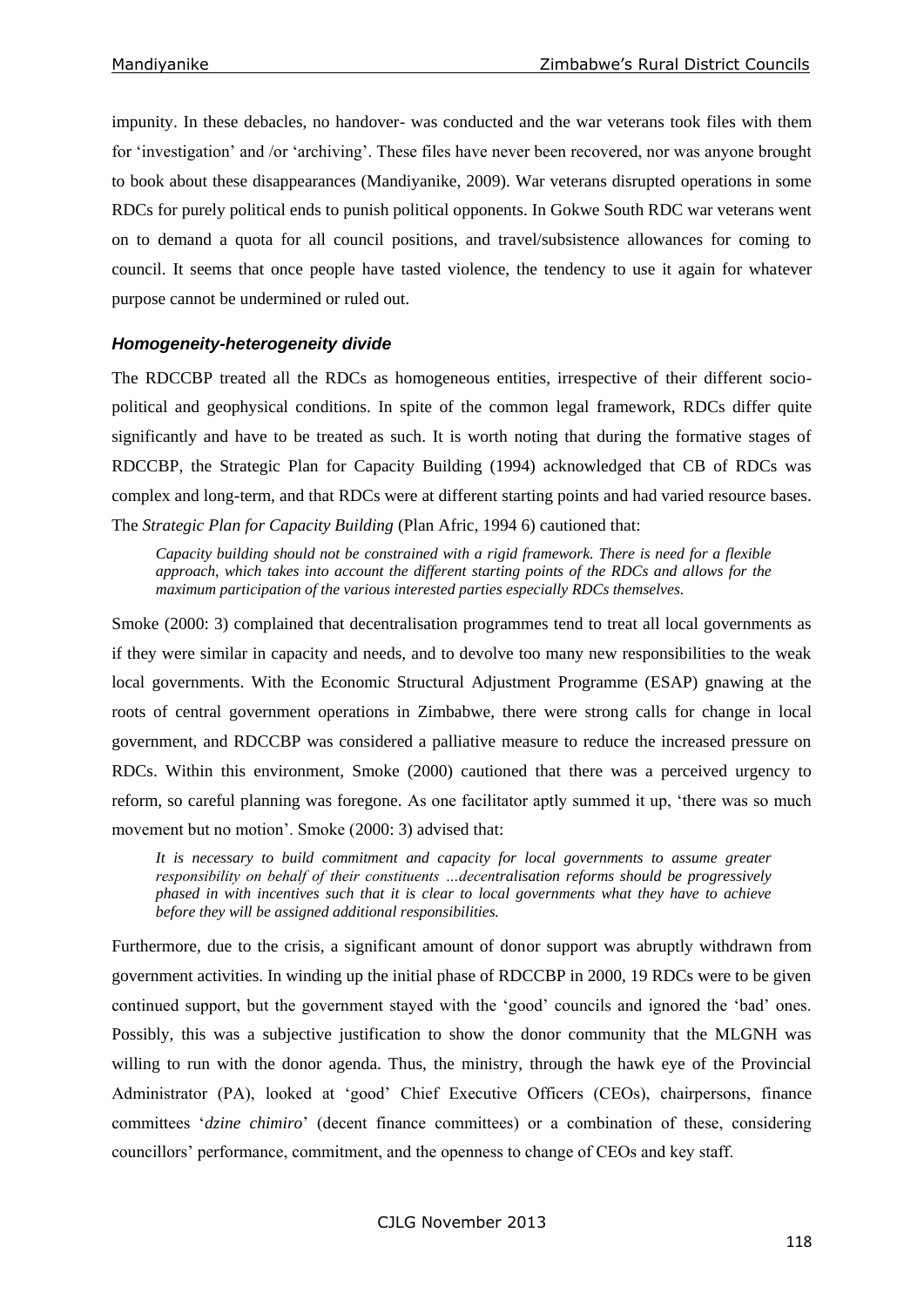impunity. In these debacles, no handover- was conducted and the war veterans took files with them for 'investigation' and /or 'archiving'. These files have never been recovered, nor was anyone brought to book about these disappearances (Mandiyanike, 2009). War veterans disrupted operations in some RDCs for purely political ends to punish political opponents. In Gokwe South RDC war veterans went on to demand a quota for all council positions, and travel/subsistence allowances for coming to council. It seems that once people have tasted violence, the tendency to use it again for whatever purpose cannot be undermined or ruled out.

#### *Homogeneity-heterogeneity divide*

The RDCCBP treated all the RDCs as homogeneous entities, irrespective of their different sociopolitical and geophysical conditions. In spite of the common legal framework, RDCs differ quite significantly and have to be treated as such. It is worth noting that during the formative stages of RDCCBP, the Strategic Plan for Capacity Building (1994) acknowledged that CB of RDCs was complex and long-term, and that RDCs were at different starting points and had varied resource bases. The *Strategic Plan for Capacity Building* (Plan Afric, 1994 6) cautioned that:

*Capacity building should not be constrained with a rigid framework. There is need for a flexible approach, which takes into account the different starting points of the RDCs and allows for the maximum participation of the various interested parties especially RDCs themselves.*

Smoke (2000: 3) complained that decentralisation programmes tend to treat all local governments as if they were similar in capacity and needs, and to devolve too many new responsibilities to the weak local governments. With the Economic Structural Adjustment Programme (ESAP) gnawing at the roots of central government operations in Zimbabwe, there were strong calls for change in local government, and RDCCBP was considered a palliative measure to reduce the increased pressure on RDCs. Within this environment, Smoke (2000) cautioned that there was a perceived urgency to reform, so careful planning was foregone. As one facilitator aptly summed it up, 'there was so much movement but no motion'. Smoke (2000: 3) advised that:

*It is necessary to build commitment and capacity for local governments to assume greater responsibility on behalf of their constituents …decentralisation reforms should be progressively phased in with incentives such that it is clear to local governments what they have to achieve before they will be assigned additional responsibilities.*

Furthermore, due to the crisis, a significant amount of donor support was abruptly withdrawn from government activities. In winding up the initial phase of RDCCBP in 2000, 19 RDCs were to be given continued support, but the government stayed with the 'good' councils and ignored the 'bad' ones. Possibly, this was a subjective justification to show the donor community that the MLGNH was willing to run with the donor agenda. Thus, the ministry, through the hawk eye of the Provincial Administrator (PA), looked at 'good' Chief Executive Officers (CEOs), chairpersons, finance committees '*dzine chimiro*' (decent finance committees) or a combination of these, considering councillors' performance, commitment, and the openness to change of CEOs and key staff.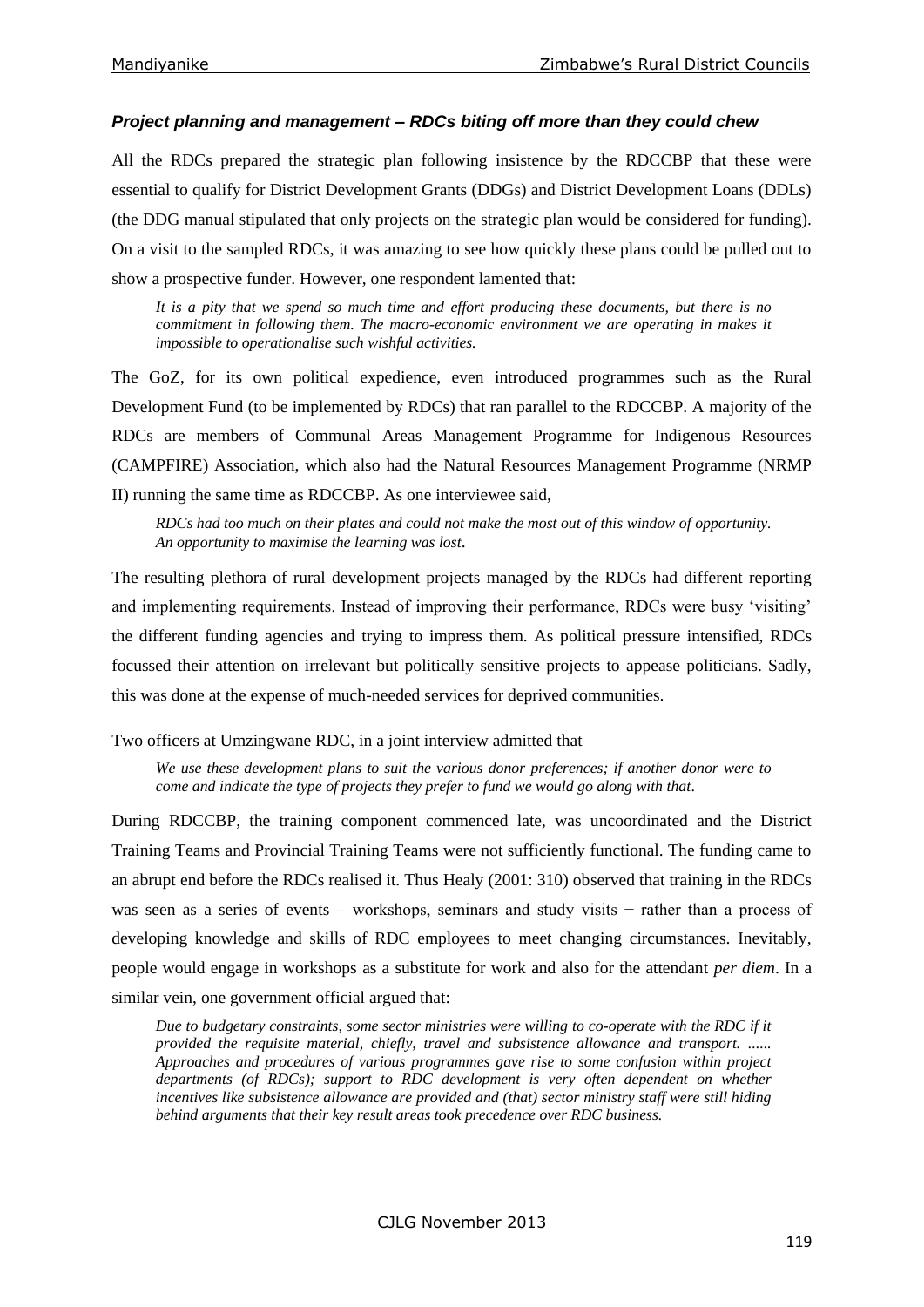#### *Project planning and management – RDCs biting off more than they could chew*

All the RDCs prepared the strategic plan following insistence by the RDCCBP that these were essential to qualify for District Development Grants (DDGs) and District Development Loans (DDLs) (the DDG manual stipulated that only projects on the strategic plan would be considered for funding). On a visit to the sampled RDCs, it was amazing to see how quickly these plans could be pulled out to show a prospective funder. However, one respondent lamented that:

*It is a pity that we spend so much time and effort producing these documents, but there is no commitment in following them. The macro-economic environment we are operating in makes it impossible to operationalise such wishful activities.*

The GoZ, for its own political expedience, even introduced programmes such as the Rural Development Fund (to be implemented by RDCs) that ran parallel to the RDCCBP. A majority of the RDCs are members of Communal Areas Management Programme for Indigenous Resources (CAMPFIRE) Association, which also had the Natural Resources Management Programme (NRMP II) running the same time as RDCCBP. As one interviewee said,

*RDCs had too much on their plates and could not make the most out of this window of opportunity. An opportunity to maximise the learning was lost*.

The resulting plethora of rural development projects managed by the RDCs had different reporting and implementing requirements. Instead of improving their performance, RDCs were busy 'visiting' the different funding agencies and trying to impress them. As political pressure intensified, RDCs focussed their attention on irrelevant but politically sensitive projects to appease politicians. Sadly, this was done at the expense of much-needed services for deprived communities.

Two officers at Umzingwane RDC, in a joint interview admitted that

*We use these development plans to suit the various donor preferences; if another donor were to come and indicate the type of projects they prefer to fund we would go along with that*.

During RDCCBP, the training component commenced late, was uncoordinated and the District Training Teams and Provincial Training Teams were not sufficiently functional. The funding came to an abrupt end before the RDCs realised it. Thus Healy (2001: 310) observed that training in the RDCs was seen as a series of events – workshops, seminars and study visits − rather than a process of developing knowledge and skills of RDC employees to meet changing circumstances. Inevitably, people would engage in workshops as a substitute for work and also for the attendant *per diem*. In a similar vein, one government official argued that:

*Due to budgetary constraints, some sector ministries were willing to co-operate with the RDC if it provided the requisite material, chiefly, travel and subsistence allowance and transport. ...... Approaches and procedures of various programmes gave rise to some confusion within project departments (of RDCs); support to RDC development is very often dependent on whether incentives like subsistence allowance are provided and (that) sector ministry staff were still hiding behind arguments that their key result areas took precedence over RDC business.*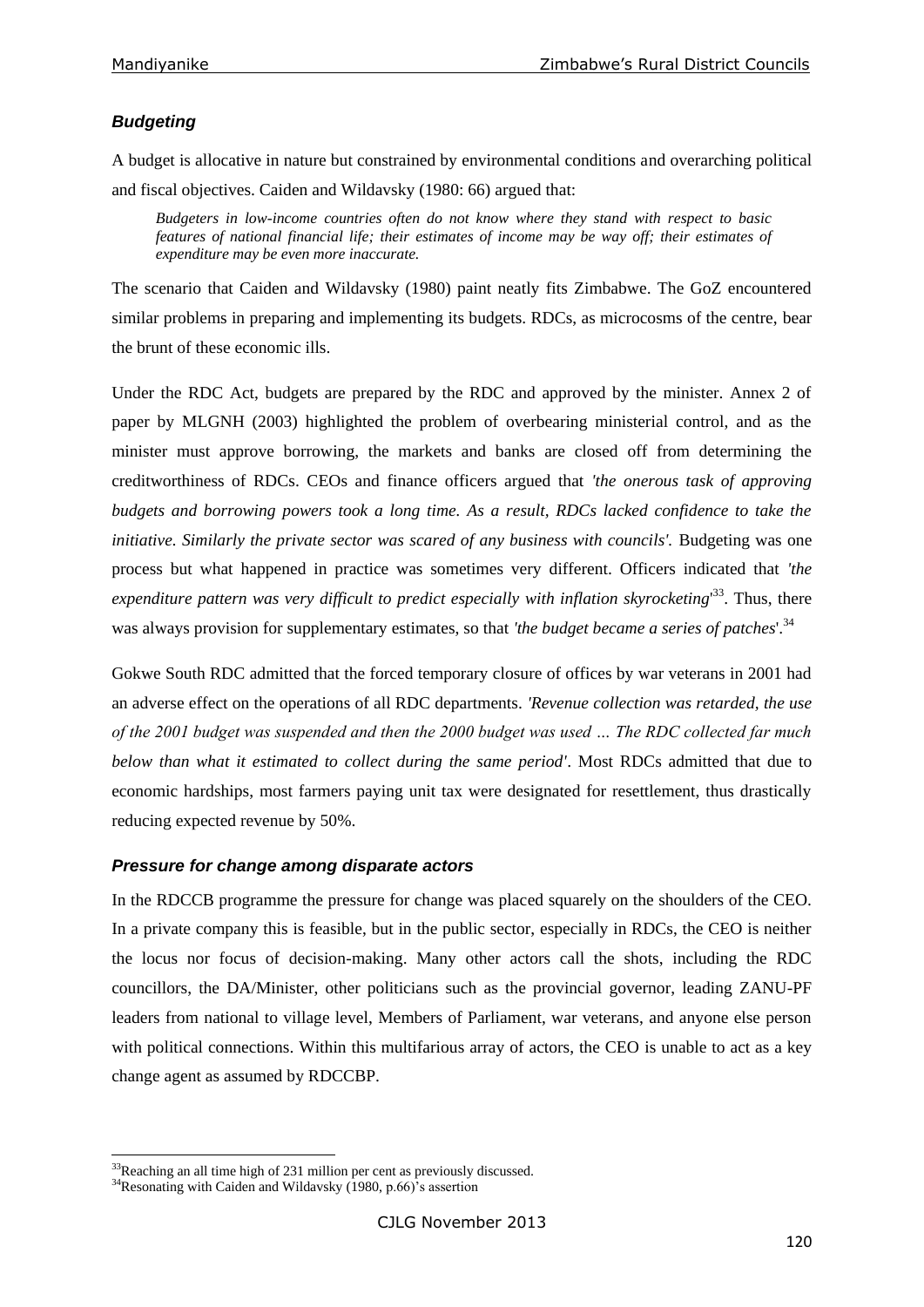### *Budgeting*

A budget is allocative in nature but constrained by environmental conditions and overarching political and fiscal objectives. Caiden and Wildavsky (1980: 66) argued that:

*Budgeters in low-income countries often do not know where they stand with respect to basic features of national financial life; their estimates of income may be way off; their estimates of expenditure may be even more inaccurate.*

The scenario that Caiden and Wildavsky (1980) paint neatly fits Zimbabwe. The GoZ encountered similar problems in preparing and implementing its budgets. RDCs, as microcosms of the centre, bear the brunt of these economic ills.

Under the RDC Act, budgets are prepared by the RDC and approved by the minister. Annex 2 of paper by MLGNH (2003) highlighted the problem of overbearing ministerial control, and as the minister must approve borrowing, the markets and banks are closed off from determining the creditworthiness of RDCs. CEOs and finance officers argued that *'the onerous task of approving budgets and borrowing powers took a long time. As a result, RDCs lacked confidence to take the initiative. Similarly the private sector was scared of any business with councils'. Budgeting was one* process but what happened in practice was sometimes very different. Officers indicated that *'the*  expenditure pattern was very difficult to predict especially with inflation skyrocketing<sup>33</sup>. Thus, there was always provision for supplementary estimates, so that *'the budget became a series of patches'*.<sup>34</sup>

Gokwe South RDC admitted that the forced temporary closure of offices by war veterans in 2001 had an adverse effect on the operations of all RDC departments. *'Revenue collection was retarded, the use of the 2001 budget was suspended and then the 2000 budget was used … The RDC collected far much below than what it estimated to collect during the same period'*. Most RDCs admitted that due to economic hardships, most farmers paying unit tax were designated for resettlement, thus drastically reducing expected revenue by 50%.

#### *Pressure for change among disparate actors*

In the RDCCB programme the pressure for change was placed squarely on the shoulders of the CEO. In a private company this is feasible, but in the public sector, especially in RDCs, the CEO is neither the locus nor focus of decision-making. Many other actors call the shots, including the RDC councillors, the DA/Minister, other politicians such as the provincial governor, leading ZANU-PF leaders from national to village level, Members of Parliament, war veterans, and anyone else person with political connections. Within this multifarious array of actors, the CEO is unable to act as a key change agent as assumed by RDCCBP.

1

 $33$ Reaching an all time high of 231 million per cent as previously discussed.

 $34$ Resonating with Caiden and Wildavsky (1980, p.66)'s assertion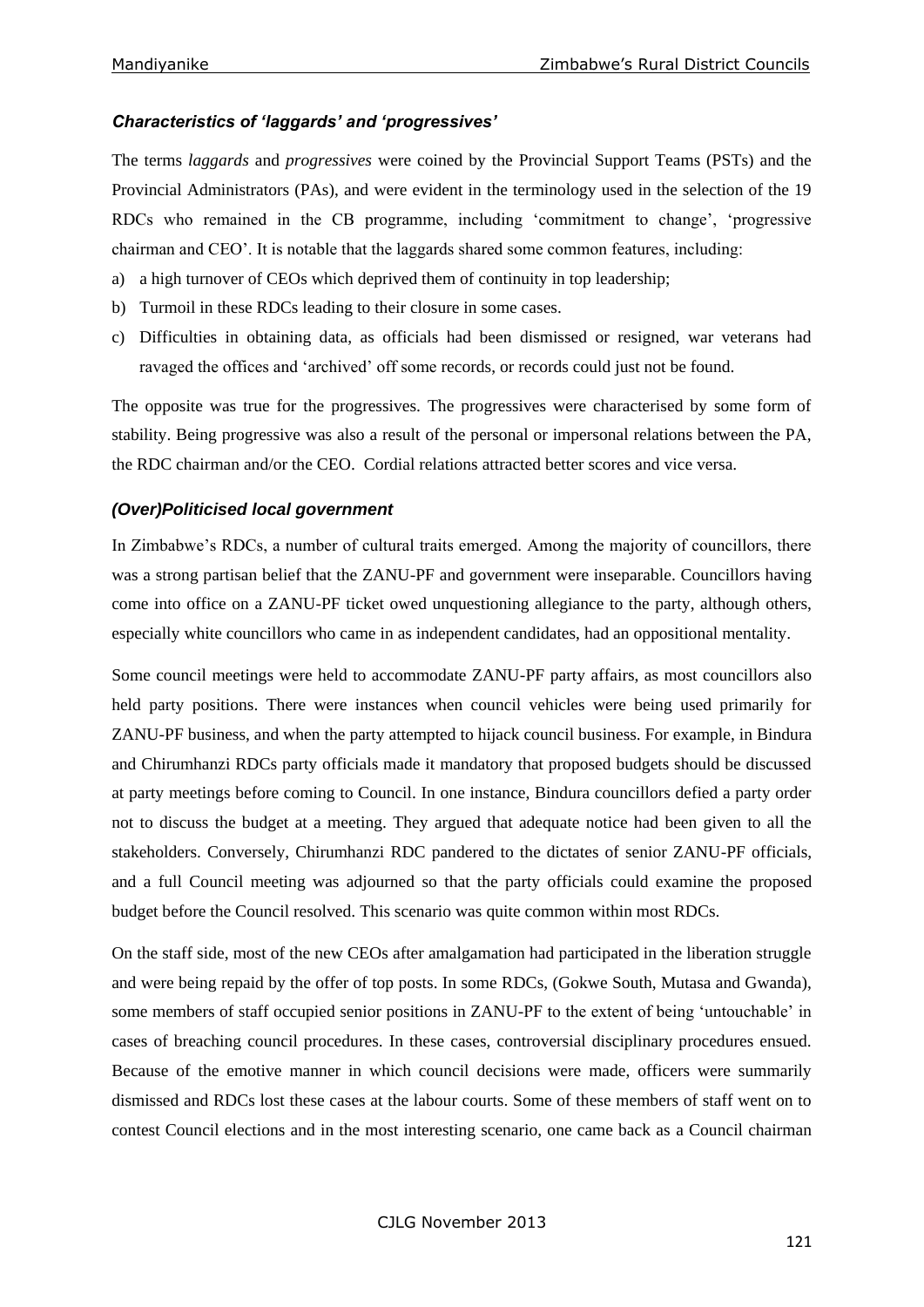## *Characteristics of 'laggards' and 'progressives'*

The terms *laggards* and *progressives* were coined by the Provincial Support Teams (PSTs) and the Provincial Administrators (PAs), and were evident in the terminology used in the selection of the 19 RDCs who remained in the CB programme, including 'commitment to change', 'progressive chairman and CEO'. It is notable that the laggards shared some common features, including:

- a) a high turnover of CEOs which deprived them of continuity in top leadership;
- b) Turmoil in these RDCs leading to their closure in some cases.
- c) Difficulties in obtaining data, as officials had been dismissed or resigned, war veterans had ravaged the offices and 'archived' off some records, or records could just not be found.

The opposite was true for the progressives. The progressives were characterised by some form of stability. Being progressive was also a result of the personal or impersonal relations between the PA, the RDC chairman and/or the CEO. Cordial relations attracted better scores and vice versa.

## *(Over)Politicised local government*

In Zimbabwe's RDCs, a number of cultural traits emerged. Among the majority of councillors, there was a strong partisan belief that the ZANU-PF and government were inseparable. Councillors having come into office on a ZANU-PF ticket owed unquestioning allegiance to the party, although others, especially white councillors who came in as independent candidates, had an oppositional mentality.

Some council meetings were held to accommodate ZANU-PF party affairs, as most councillors also held party positions. There were instances when council vehicles were being used primarily for ZANU-PF business, and when the party attempted to hijack council business. For example, in Bindura and Chirumhanzi RDCs party officials made it mandatory that proposed budgets should be discussed at party meetings before coming to Council. In one instance, Bindura councillors defied a party order not to discuss the budget at a meeting. They argued that adequate notice had been given to all the stakeholders. Conversely, Chirumhanzi RDC pandered to the dictates of senior ZANU-PF officials, and a full Council meeting was adjourned so that the party officials could examine the proposed budget before the Council resolved. This scenario was quite common within most RDCs.

On the staff side, most of the new CEOs after amalgamation had participated in the liberation struggle and were being repaid by the offer of top posts. In some RDCs, (Gokwe South, Mutasa and Gwanda), some members of staff occupied senior positions in ZANU-PF to the extent of being 'untouchable' in cases of breaching council procedures. In these cases, controversial disciplinary procedures ensued. Because of the emotive manner in which council decisions were made, officers were summarily dismissed and RDCs lost these cases at the labour courts. Some of these members of staff went on to contest Council elections and in the most interesting scenario, one came back as a Council chairman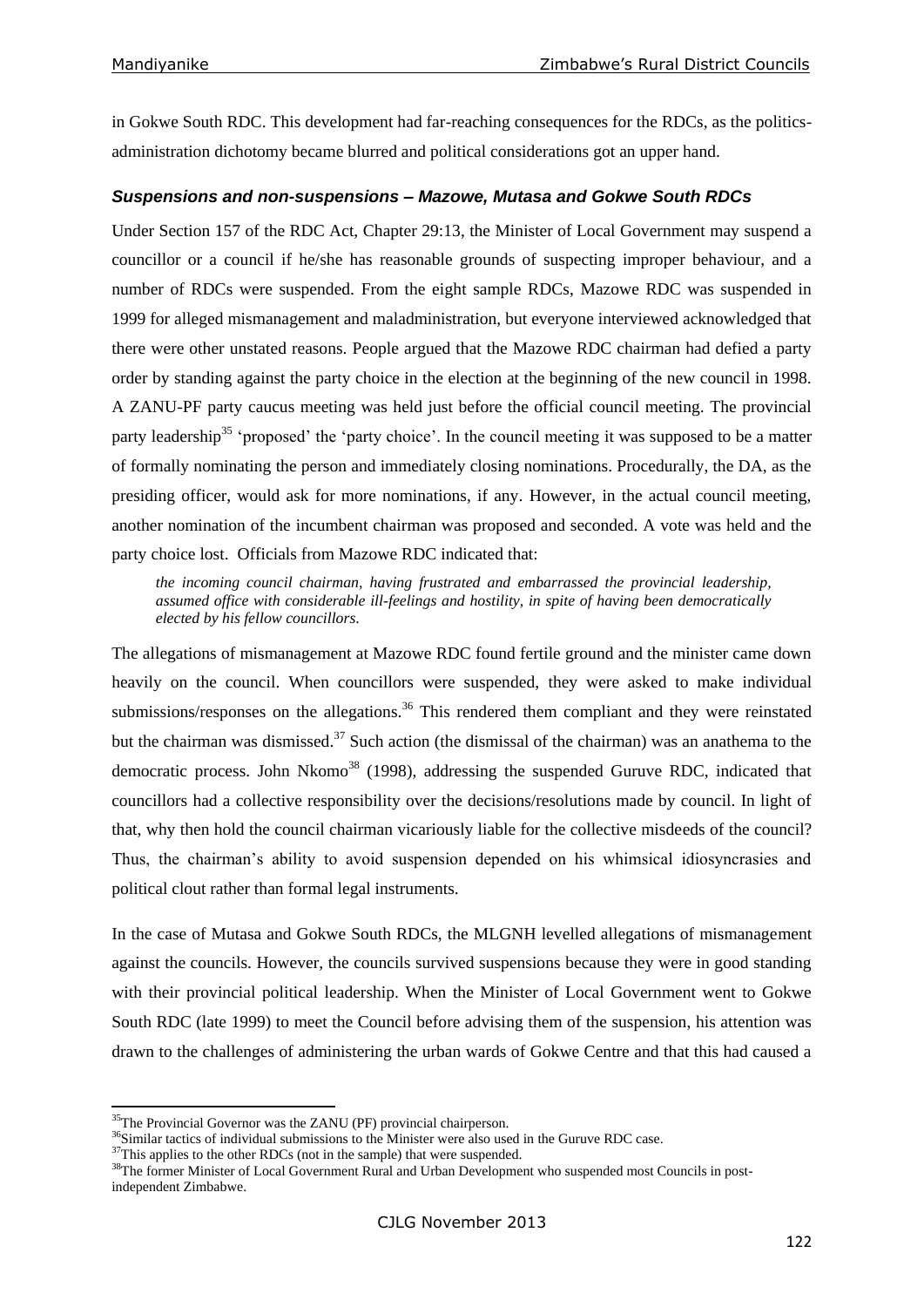in Gokwe South RDC. This development had far-reaching consequences for the RDCs, as the politicsadministration dichotomy became blurred and political considerations got an upper hand.

### *Suspensions and non-suspensions – Mazowe, Mutasa and Gokwe South RDCs*

Under Section 157 of the RDC Act, Chapter 29:13, the Minister of Local Government may suspend a councillor or a council if he/she has reasonable grounds of suspecting improper behaviour, and a number of RDCs were suspended. From the eight sample RDCs, Mazowe RDC was suspended in 1999 for alleged mismanagement and maladministration, but everyone interviewed acknowledged that there were other unstated reasons. People argued that the Mazowe RDC chairman had defied a party order by standing against the party choice in the election at the beginning of the new council in 1998. A ZANU-PF party caucus meeting was held just before the official council meeting. The provincial party leadership<sup>35</sup> 'proposed' the 'party choice'. In the council meeting it was supposed to be a matter of formally nominating the person and immediately closing nominations. Procedurally, the DA, as the presiding officer, would ask for more nominations, if any. However, in the actual council meeting, another nomination of the incumbent chairman was proposed and seconded. A vote was held and the party choice lost. Officials from Mazowe RDC indicated that:

*the incoming council chairman, having frustrated and embarrassed the provincial leadership, assumed office with considerable ill-feelings and hostility, in spite of having been democratically elected by his fellow councillors*.

The allegations of mismanagement at Mazowe RDC found fertile ground and the minister came down heavily on the council. When councillors were suspended, they were asked to make individual submissions/responses on the allegations.<sup>36</sup> This rendered them compliant and they were reinstated but the chairman was dismissed.<sup>37</sup> Such action (the dismissal of the chairman) was an anathema to the democratic process. John Nkomo<sup>38</sup> (1998), addressing the suspended Guruve RDC, indicated that councillors had a collective responsibility over the decisions/resolutions made by council. In light of that, why then hold the council chairman vicariously liable for the collective misdeeds of the council? Thus, the chairman's ability to avoid suspension depended on his whimsical idiosyncrasies and political clout rather than formal legal instruments.

In the case of Mutasa and Gokwe South RDCs, the MLGNH levelled allegations of mismanagement against the councils. However, the councils survived suspensions because they were in good standing with their provincial political leadership. When the Minister of Local Government went to Gokwe South RDC (late 1999) to meet the Council before advising them of the suspension, his attention was drawn to the challenges of administering the urban wards of Gokwe Centre and that this had caused a

**.** 

<sup>&</sup>lt;sup>35</sup>The Provincial Governor was the ZANU (PF) provincial chairperson.

<sup>&</sup>lt;sup>36</sup>Similar tactics of individual submissions to the Minister were also used in the Guruve RDC case.

<sup>&</sup>lt;sup>37</sup>This applies to the other RDCs (not in the sample) that were suspended.

<sup>&</sup>lt;sup>38</sup>The former Minister of Local Government Rural and Urban Development who suspended most Councils in postindependent Zimbabwe.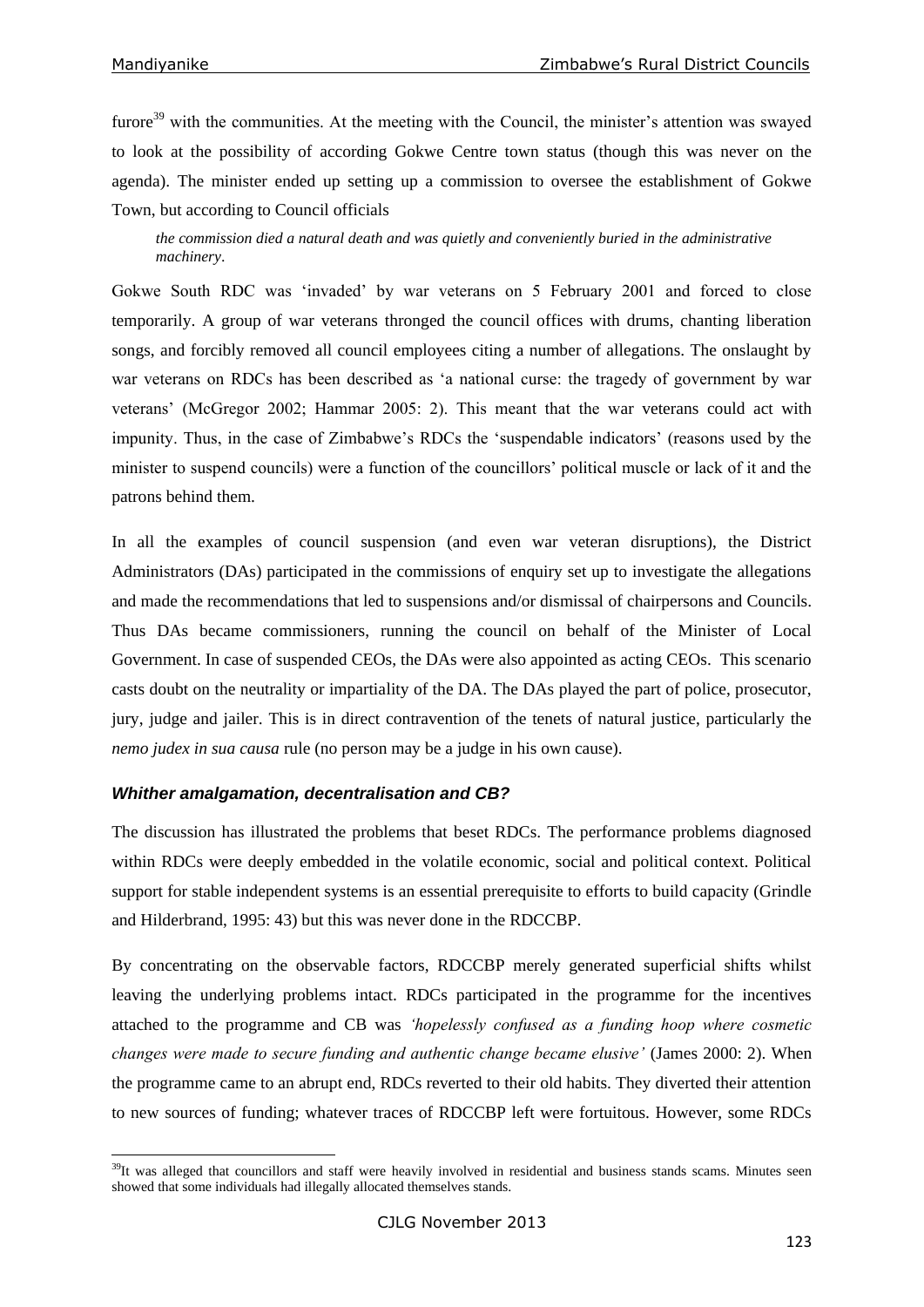1

furore<sup>39</sup> with the communities. At the meeting with the Council, the minister's attention was swayed to look at the possibility of according Gokwe Centre town status (though this was never on the agenda). The minister ended up setting up a commission to oversee the establishment of Gokwe Town, but according to Council officials

*the commission died a natural death and was quietly and conveniently buried in the administrative machinery*.

Gokwe South RDC was 'invaded' by war veterans on 5 February 2001 and forced to close temporarily. A group of war veterans thronged the council offices with drums, chanting liberation songs, and forcibly removed all council employees citing a number of allegations. The onslaught by war veterans on RDCs has been described as 'a national curse: the tragedy of government by war veterans' (McGregor 2002; Hammar 2005: 2). This meant that the war veterans could act with impunity. Thus, in the case of Zimbabwe's RDCs the 'suspendable indicators' (reasons used by the minister to suspend councils) were a function of the councillors' political muscle or lack of it and the patrons behind them.

In all the examples of council suspension (and even war veteran disruptions), the District Administrators (DAs) participated in the commissions of enquiry set up to investigate the allegations and made the recommendations that led to suspensions and/or dismissal of chairpersons and Councils. Thus DAs became commissioners, running the council on behalf of the Minister of Local Government. In case of suspended CEOs, the DAs were also appointed as acting CEOs. This scenario casts doubt on the neutrality or impartiality of the DA. The DAs played the part of police, prosecutor, jury, judge and jailer. This is in direct contravention of the tenets of natural justice, particularly the *nemo judex in sua causa* rule (no person may be a judge in his own cause).

#### *Whither amalgamation, decentralisation and CB?*

The discussion has illustrated the problems that beset RDCs. The performance problems diagnosed within RDCs were deeply embedded in the volatile economic, social and political context. Political support for stable independent systems is an essential prerequisite to efforts to build capacity (Grindle and Hilderbrand, 1995: 43) but this was never done in the RDCCBP.

By concentrating on the observable factors, RDCCBP merely generated superficial shifts whilst leaving the underlying problems intact. RDCs participated in the programme for the incentives attached to the programme and CB was *'hopelessly confused as a funding hoop where cosmetic changes were made to secure funding and authentic change became elusive'* (James 2000: 2). When the programme came to an abrupt end, RDCs reverted to their old habits. They diverted their attention to new sources of funding; whatever traces of RDCCBP left were fortuitous. However, some RDCs

 $39$ It was alleged that councillors and staff were heavily involved in residential and business stands scams. Minutes seen showed that some individuals had illegally allocated themselves stands.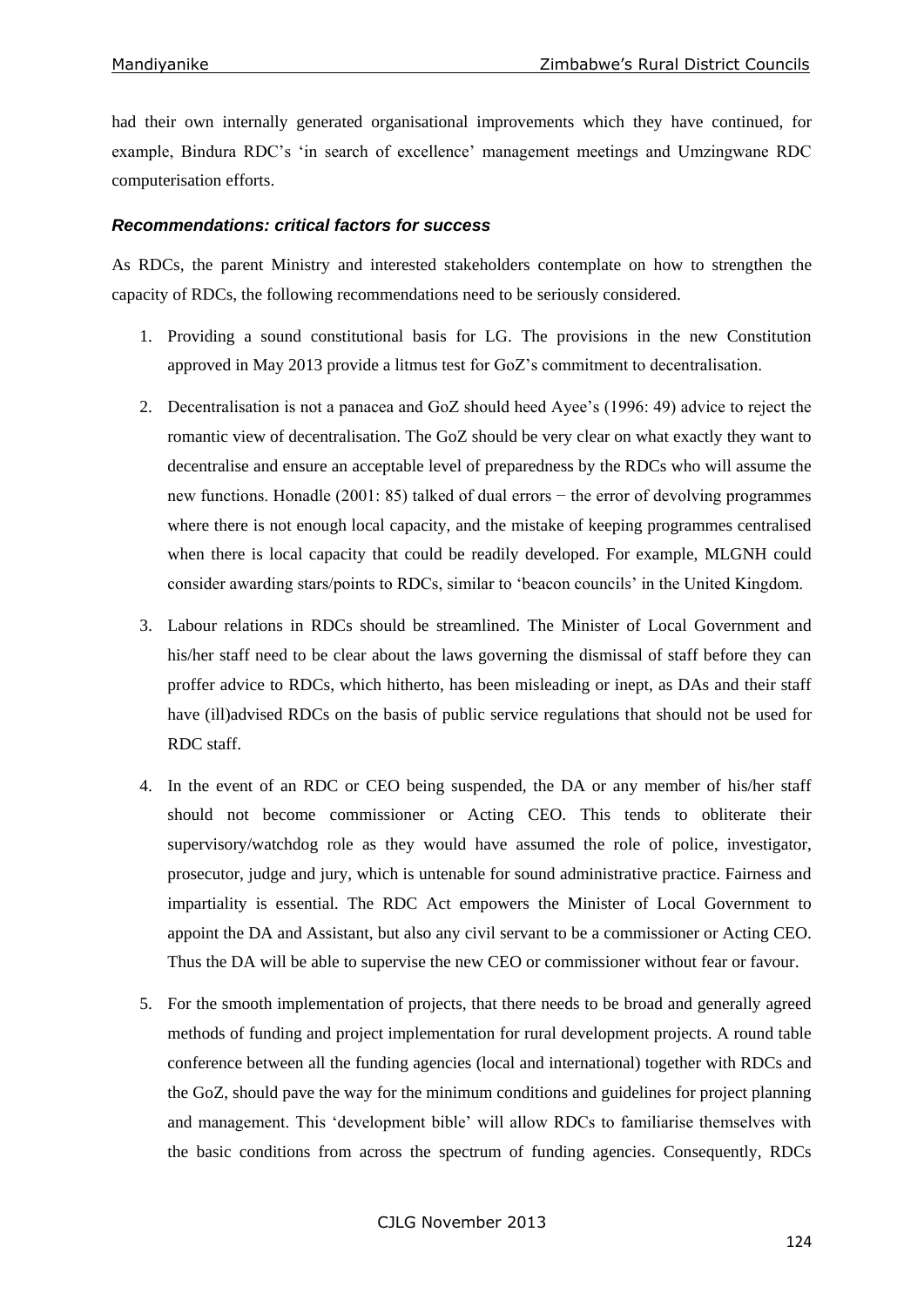had their own internally generated organisational improvements which they have continued, for example, Bindura RDC's 'in search of excellence' management meetings and Umzingwane RDC computerisation efforts.

#### *Recommendations: critical factors for success*

As RDCs, the parent Ministry and interested stakeholders contemplate on how to strengthen the capacity of RDCs, the following recommendations need to be seriously considered.

- 1. Providing a sound constitutional basis for LG. The provisions in the new Constitution approved in May 2013 provide a litmus test for GoZ's commitment to decentralisation.
- 2. Decentralisation is not a panacea and GoZ should heed Ayee's (1996: 49) advice to reject the romantic view of decentralisation. The GoZ should be very clear on what exactly they want to decentralise and ensure an acceptable level of preparedness by the RDCs who will assume the new functions. Honadle (2001: 85) talked of dual errors − the error of devolving programmes where there is not enough local capacity, and the mistake of keeping programmes centralised when there is local capacity that could be readily developed. For example, MLGNH could consider awarding stars/points to RDCs, similar to 'beacon councils' in the United Kingdom.
- 3. Labour relations in RDCs should be streamlined. The Minister of Local Government and his/her staff need to be clear about the laws governing the dismissal of staff before they can proffer advice to RDCs, which hitherto, has been misleading or inept, as DAs and their staff have (ill)advised RDCs on the basis of public service regulations that should not be used for RDC staff.
- 4. In the event of an RDC or CEO being suspended, the DA or any member of his/her staff should not become commissioner or Acting CEO. This tends to obliterate their supervisory/watchdog role as they would have assumed the role of police, investigator, prosecutor, judge and jury, which is untenable for sound administrative practice. Fairness and impartiality is essential. The RDC Act empowers the Minister of Local Government to appoint the DA and Assistant, but also any civil servant to be a commissioner or Acting CEO. Thus the DA will be able to supervise the new CEO or commissioner without fear or favour.
- 5. For the smooth implementation of projects, that there needs to be broad and generally agreed methods of funding and project implementation for rural development projects. A round table conference between all the funding agencies (local and international) together with RDCs and the GoZ, should pave the way for the minimum conditions and guidelines for project planning and management. This 'development bible' will allow RDCs to familiarise themselves with the basic conditions from across the spectrum of funding agencies. Consequently, RDCs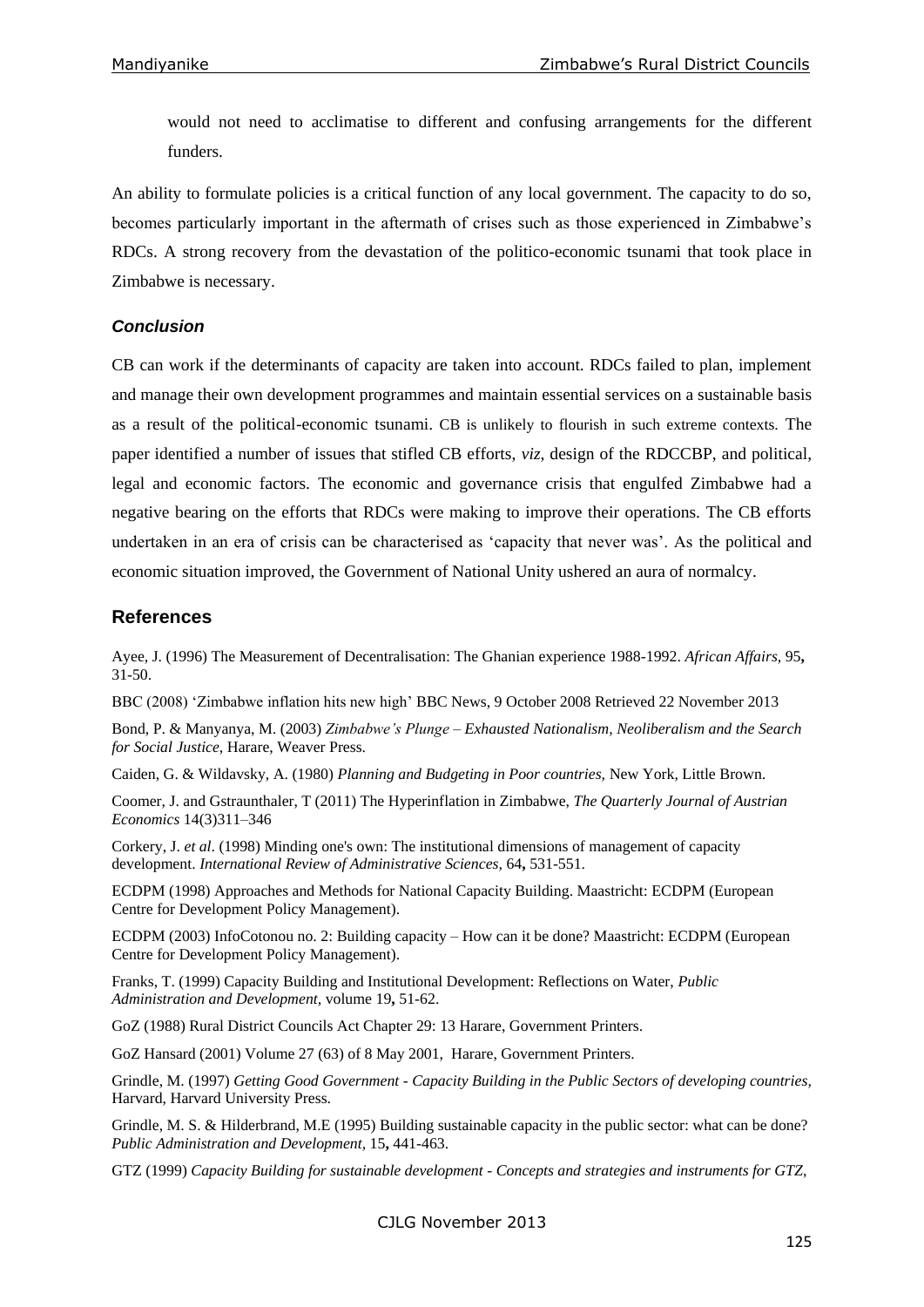would not need to acclimatise to different and confusing arrangements for the different funders.

An ability to formulate policies is a critical function of any local government. The capacity to do so, becomes particularly important in the aftermath of crises such as those experienced in Zimbabwe's RDCs. A strong recovery from the devastation of the politico-economic tsunami that took place in Zimbabwe is necessary.

#### *Conclusion*

CB can work if the determinants of capacity are taken into account. RDCs failed to plan, implement and manage their own development programmes and maintain essential services on a sustainable basis as a result of the political-economic tsunami. CB is unlikely to flourish in such extreme contexts. The paper identified a number of issues that stifled CB efforts, *viz*, design of the RDCCBP, and political, legal and economic factors. The economic and governance crisis that engulfed Zimbabwe had a negative bearing on the efforts that RDCs were making to improve their operations. The CB efforts undertaken in an era of crisis can be characterised as 'capacity that never was'. As the political and economic situation improved, the Government of National Unity ushered an aura of normalcy.

#### **References**

Ayee, J. (1996) The Measurement of Decentralisation: The Ghanian experience 1988-1992. *African Affairs,* 95**,** 31-50.

BBC (2008) 'Zimbabwe inflation hits new high' BBC News, 9 October 2008 Retrieved 22 November 2013

Bond, P. & Manyanya, M. (2003) *Zimbabwe's Plunge – Exhausted Nationalism, Neoliberalism and the Search for Social Justice*, Harare, Weaver Press.

Caiden, G. & Wildavsky, A. (1980) *Planning and Budgeting in Poor countries,* New York, Little Brown.

Coomer, J. and Gstraunthaler, T (2011) The Hyperinflation in Zimbabwe, *The Quarterly Journal of Austrian Economics* 14(3)311–346

Corkery, J. *et al*. (1998) Minding one's own: The institutional dimensions of management of capacity development. *International Review of Administrative Sciences,* 64**,** 531-551.

ECDPM (1998) Approaches and Methods for National Capacity Building. Maastricht: ECDPM (European Centre for Development Policy Management).

ECDPM (2003) InfoCotonou no. 2: Building capacity – How can it be done? Maastricht: ECDPM (European Centre for Development Policy Management).

Franks, T. (1999) Capacity Building and Institutional Development: Reflections on Water, *Public Administration and Development,* volume 19**,** 51-62.

GoZ (1988) Rural District Councils Act Chapter 29: 13 Harare, Government Printers.

GoZ Hansard (2001) Volume 27 (63) of 8 May 2001, Harare, Government Printers.

Grindle, M. (1997) *Getting Good Government - Capacity Building in the Public Sectors of developing countries,*  Harvard, Harvard University Press.

Grindle, M. S. & Hilderbrand, M.E (1995) Building sustainable capacity in the public sector: what can be done? *Public Administration and Development,* 15**,** 441-463.

GTZ (1999) *Capacity Building for sustainable development - Concepts and strategies and instruments for GTZ*,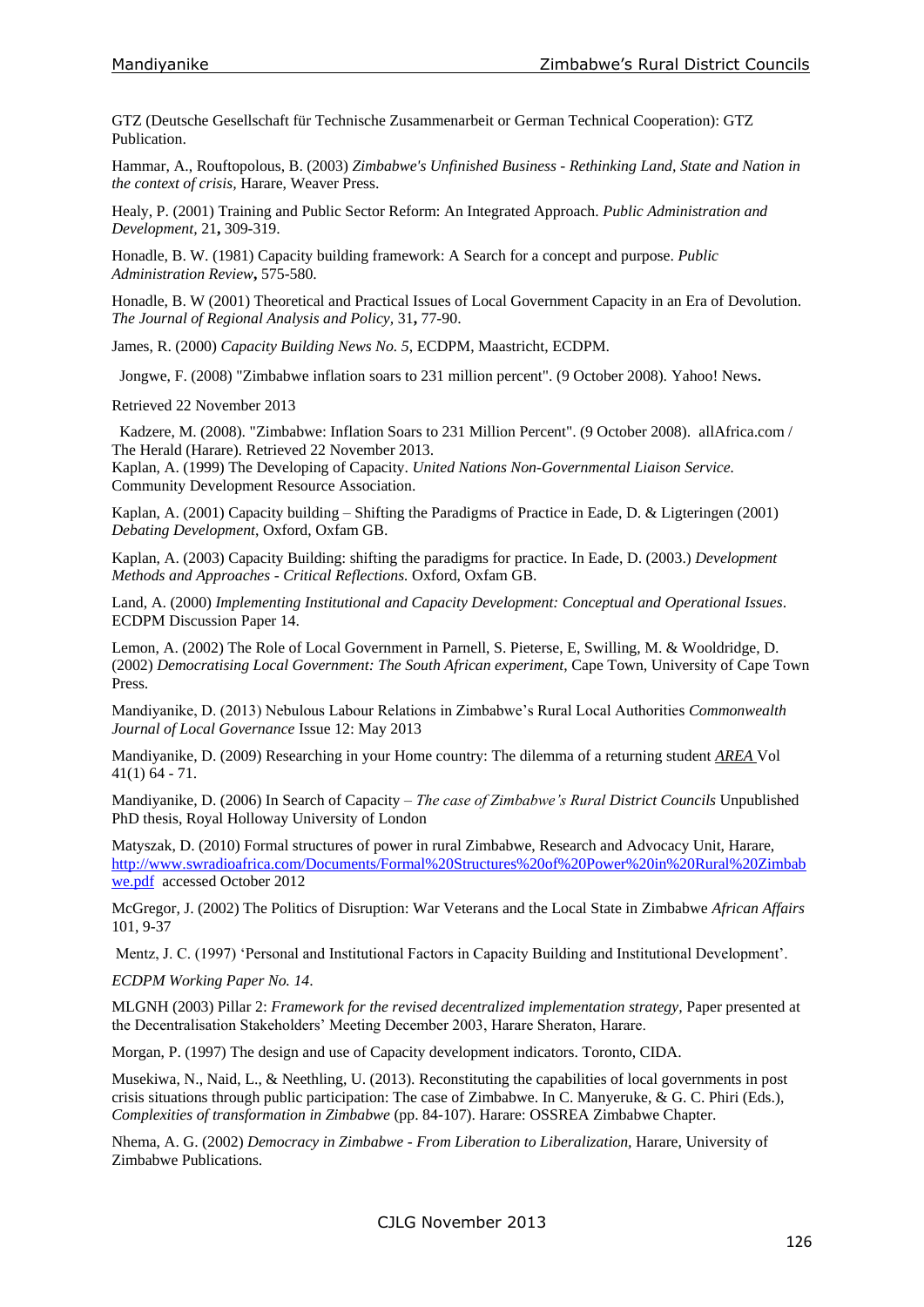GTZ (Deutsche Gesellschaft für Technische Zusammenarbeit or German Technical Cooperation): GTZ Publication.

Hammar, A., Rouftopolous, B. (2003) *Zimbabwe's Unfinished Business - Rethinking Land, State and Nation in the context of crisis,* Harare, Weaver Press.

Healy, P. (2001) Training and Public Sector Reform: An Integrated Approach. *Public Administration and Development,* 21**,** 309-319.

Honadle, B. W. (1981) Capacity building framework: A Search for a concept and purpose. *Public Administration Review***,** 575-580.

Honadle, B. W (2001) Theoretical and Practical Issues of Local Government Capacity in an Era of Devolution. *The Journal of Regional Analysis and Policy,* 31**,** 77-90.

James, R. (2000) *Capacity Building News No. 5*, ECDPM, Maastricht, ECDPM.

Jongwe, F. (2008) "Zimbabwe inflation soars to 231 million percent". (9 October 2008). Yahoo! News.

Retrieved 22 November 2013

 Kadzere, M. (2008). "Zimbabwe: Inflation Soars to 231 Million Percent". (9 October 2008). allAfrica.com / The Herald (Harare). Retrieved 22 November 2013.

Kaplan, A. (1999) The Developing of Capacity. *United Nations Non-Governmental Liaison Service.*  Community Development Resource Association.

Kaplan, A. (2001) Capacity building – Shifting the Paradigms of Practice in Eade, D. & Ligteringen (2001) *Debating Development*, Oxford, Oxfam GB.

Kaplan, A. (2003) Capacity Building: shifting the paradigms for practice. In Eade, D. (2003.) *Development Methods and Approaches - Critical Reflections.* Oxford, Oxfam GB.

Land, A. (2000) *Implementing Institutional and Capacity Development: Conceptual and Operational Issues*. ECDPM Discussion Paper 14.

Lemon, A. (2002) The Role of Local Government in Parnell, S. Pieterse, E, Swilling, M. & Wooldridge, D. (2002) *Democratising Local Government: The South African experiment*, Cape Town, University of Cape Town Press.

Mandiyanike, D. (2013) Nebulous Labour Relations in Zimbabwe's Rural Local Authorities *Commonwealth Journal of Local Governance* Issue 12: May 2013

Mandiyanike, D. (2009) Researching in your Home country: The dilemma of a returning student *AREA* Vol 41(1) 64 - 71.

Mandiyanike, D. (2006) In Search of Capacity – *The case of Zimbabwe's Rural District Councils* Unpublished PhD thesis, Royal Holloway University of London

Matyszak, D. (2010) Formal structures of power in rural Zimbabwe, Research and Advocacy Unit, Harare, [http://www.swradioafrica.com/Documents/Formal%20Structures%20of%20Power%20in%20Rural%20Zimbab](http://www.swradioafrica.com/Documents/Formal%20Structures%20of%20Power%20in%20Rural%20Zimbabwe.pdf) [we.pdf](http://www.swradioafrica.com/Documents/Formal%20Structures%20of%20Power%20in%20Rural%20Zimbabwe.pdf) accessed October 2012

McGregor, J. (2002) The Politics of Disruption: War Veterans and the Local State in Zimbabwe *African Affairs* 101, 9-37

Mentz, J. C. (1997) 'Personal and Institutional Factors in Capacity Building and Institutional Development'.

*ECDPM Working Paper No. 14*.

MLGNH (2003) Pillar 2: *Framework for the revised decentralized implementation strategy,* Paper presented at the Decentralisation Stakeholders' Meeting December 2003, Harare Sheraton, Harare.

Morgan, P. (1997) The design and use of Capacity development indicators. Toronto, CIDA.

Musekiwa, N., Naid, L., & Neethling, U. (2013). Reconstituting the capabilities of local governments in post crisis situations through public participation: The case of Zimbabwe. In C. Manyeruke, & G. C. Phiri (Eds.), *Complexities of transformation in Zimbabwe* (pp. 84-107). Harare: OSSREA Zimbabwe Chapter.

Nhema, A. G. (2002) *Democracy in Zimbabwe - From Liberation to Liberalization,* Harare, University of Zimbabwe Publications.